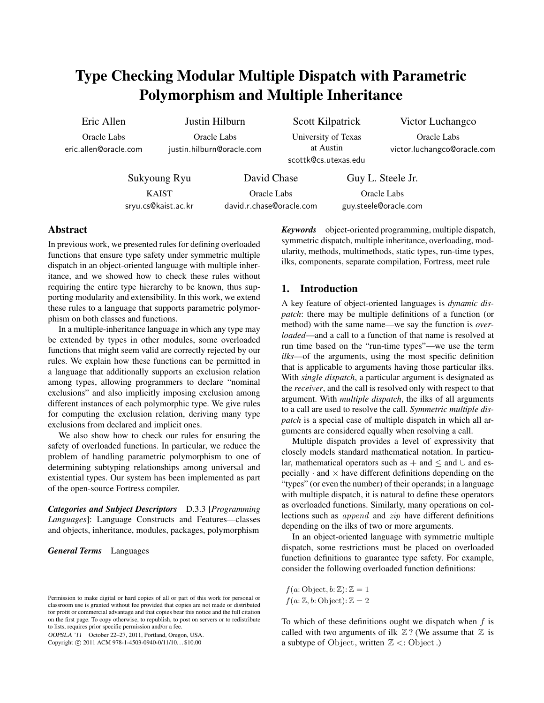## Type Checking Modular Multiple Dispatch with Parametric Polymorphism and Multiple Inheritance

Eric Allen Oracle Labs eric.allen@oracle.com

Justin Hilburn Oracle Labs justin.hilburn@oracle.com

Scott Kilpatrick University of Texas at Austin scottk@cs.utexas.edu

Victor Luchangco Oracle Labs victor.luchangco@oracle.com

Sukyoung Ryu KAIST sryu.cs@kaist.ac.kr David Chase Oracle Labs

david.r.chase@oracle.com

Guy L. Steele Jr. Oracle Labs guy.steele@oracle.com

#### Abstract

In previous work, we presented rules for defining overloaded functions that ensure type safety under symmetric multiple dispatch in an object-oriented language with multiple inheritance, and we showed how to check these rules without requiring the entire type hierarchy to be known, thus supporting modularity and extensibility. In this work, we extend these rules to a language that supports parametric polymorphism on both classes and functions.

In a multiple-inheritance language in which any type may be extended by types in other modules, some overloaded functions that might seem valid are correctly rejected by our rules. We explain how these functions can be permitted in a language that additionally supports an exclusion relation among types, allowing programmers to declare "nominal exclusions" and also implicitly imposing exclusion among different instances of each polymorphic type. We give rules for computing the exclusion relation, deriving many type exclusions from declared and implicit ones.

We also show how to check our rules for ensuring the safety of overloaded functions. In particular, we reduce the problem of handling parametric polymorphism to one of determining subtyping relationships among universal and existential types. Our system has been implemented as part of the open-source Fortress compiler.

*Categories and Subject Descriptors* D.3.3 [*Programming Languages*]: Language Constructs and Features—classes and objects, inheritance, modules, packages, polymorphism

*General Terms* Languages

OOPSLA '11 October 22–27, 2011, Portland, Oregon, USA. Copyright © 2011 ACM 978-1-4503-0940-0/11/10...\$10.00 *Keywords* object-oriented programming, multiple dispatch, symmetric dispatch, multiple inheritance, overloading, modularity, methods, multimethods, static types, run-time types, ilks, components, separate compilation, Fortress, meet rule

#### 1. Introduction

A key feature of object-oriented languages is *dynamic dispatch*: there may be multiple definitions of a function (or method) with the same name—we say the function is *overloaded*—and a call to a function of that name is resolved at run time based on the "run-time types"—we use the term *ilks*—of the arguments, using the most specific definition that is applicable to arguments having those particular ilks. With *single dispatch*, a particular argument is designated as the *receiver*, and the call is resolved only with respect to that argument. With *multiple dispatch*, the ilks of all arguments to a call are used to resolve the call. *Symmetric multiple dispatch* is a special case of multiple dispatch in which all arguments are considered equally when resolving a call.

Multiple dispatch provides a level of expressivity that closely models standard mathematical notation. In particular, mathematical operators such as + and  $\le$  and  $\cup$  and especially  $\cdot$  and  $\times$  have different definitions depending on the "types" (or even the number) of their operands; in a language with multiple dispatch, it is natural to define these operators as overloaded functions. Similarly, many operations on collections such as append and zip have different definitions depending on the ilks of two or more arguments.

In an object-oriented language with symmetric multiple dispatch, some restrictions must be placed on overloaded function definitions to guarantee type safety. For example, consider the following overloaded function definitions:

 $f(a:Object, b: \mathbb{Z})$ :  $\mathbb{Z}=1$  $f(a: \mathbb{Z}, b: \text{Object}) : \mathbb{Z} = 2$ 

To which of these definitions ought we dispatch when  $f$  is called with two arguments of ilk  $\mathbb{Z}$ ? (We assume that  $\mathbb{Z}$  is a subtype of Object, written  $\mathbb{Z} \leq$ : Object.)

Permission to make digital or hard copies of all or part of this work for personal or classroom use is granted without fee provided that copies are not made or distributed for profit or commercial advantage and that copies bear this notice and the full citation on the first page. To copy otherwise, to republish, to post on servers or to redistribute to lists, requires prior specific permission and/or a fee.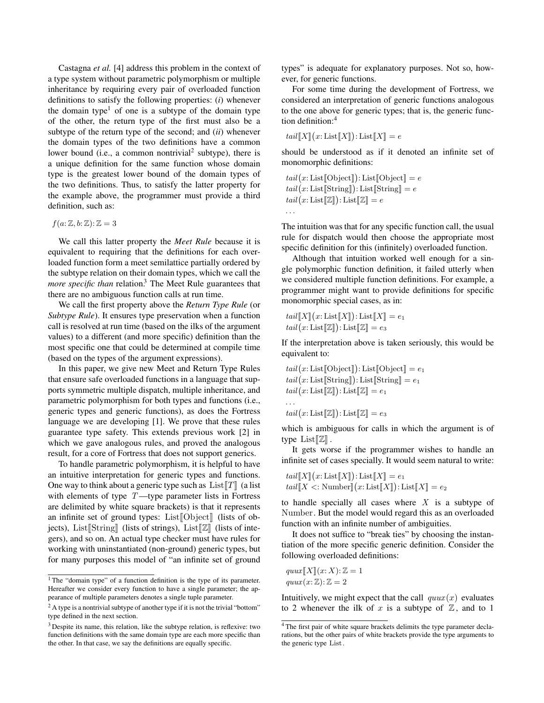Castagna *et al.* [4] address this problem in the context of a type system without parametric polymorphism or multiple inheritance by requiring every pair of overloaded function definitions to satisfy the following properties: (*i*) whenever the domain type<sup>1</sup> of one is a subtype of the domain type of the other, the return type of the first must also be a subtype of the return type of the second; and (*ii*) whenever the domain types of the two definitions have a common lower bound (i.e., a common nontrivial<sup>2</sup> subtype), there is a unique definition for the same function whose domain type is the greatest lower bound of the domain types of the two definitions. Thus, to satisfy the latter property for the example above, the programmer must provide a third definition, such as:

$$
f(a: \mathbb{Z}, b: \mathbb{Z}) \colon \mathbb{Z} = 3
$$

We call this latter property the *Meet Rule* because it is equivalent to requiring that the definitions for each overloaded function form a meet semilattice partially ordered by the subtype relation on their domain types, which we call the *more specific than* relation.<sup>3</sup> The Meet Rule guarantees that there are no ambiguous function calls at run time.

We call the first property above the *Return Type Rule* (or *Subtype Rule*). It ensures type preservation when a function call is resolved at run time (based on the ilks of the argument values) to a different (and more specific) definition than the most specific one that could be determined at compile time (based on the types of the argument expressions).

In this paper, we give new Meet and Return Type Rules that ensure safe overloaded functions in a language that supports symmetric multiple dispatch, multiple inheritance, and parametric polymorphism for both types and functions (i.e., generic types and generic functions), as does the Fortress language we are developing [1]. We prove that these rules guarantee type safety. This extends previous work [2] in which we gave analogous rules, and proved the analogous result, for a core of Fortress that does not support generics.

To handle parametric polymorphism, it is helpful to have an intuitive interpretation for generic types and functions. One way to think about a generic type such as  $ListT[[]$  (a list with elements of type  $T$ —type parameter lists in Fortress are delimited by white square brackets) is that it represents an infinite set of ground types: List $\llbracket \text{Object} \rrbracket$  (lists of objects), List $[\exists \text{String}]$  (lists of strings), List $[\![\mathbb{Z}]\!]$  (lists of integers), and so on. An actual type checker must have rules for working with uninstantiated (non-ground) generic types, but for many purposes this model of "an infinite set of ground types" is adequate for explanatory purposes. Not so, however, for generic functions.

For some time during the development of Fortress, we considered an interpretation of generic functions analogous to the one above for generic types; that is, the generic function definition:<sup>4</sup>

 $tail[[X]](x:List[[X]]):\text{List}[[X]])=e$ 

. . .

should be understood as if it denoted an infinite set of monomorphic definitions:

 $tail(x: List[Object]) : List[Object] = e$  $tail(x: List[\text{String}]): List[\text{String}] = e$  $tail(x: \text{List}[\![\mathbb{Z}]\!])$ : List $[\![\mathbb{Z}]\!] = e$ 

The intuition was that for any specific function call, the usual rule for dispatch would then choose the appropriate most specific definition for this (infinitely) overloaded function.

Although that intuition worked well enough for a single polymorphic function definition, it failed utterly when we considered multiple function definitions. For example, a programmer might want to provide definitions for specific monomorphic special cases, as in:

$$
tail[[X]](x: List[[X]]): List[[X]] = e_1
$$
  

$$
tail(x: List[[Z]]): List[[Z]] = e_3
$$

If the interpretation above is taken seriously, this would be equivalent to:

$$
tail(x: List[\text{Object}]): List[\text{Object}] = e_1
$$
  

$$
tail(x: List[\text{String}]): List[\text{String}] = e_1
$$
  

$$
tail(x: List[\mathbb{Z}]): List[\mathbb{Z}] = e_1
$$
  
...

 $tail(x: List[\![\mathbb{Z}]\!])$ : List $[\![\mathbb{Z}]\!] = e_3$ 

which is ambiguous for calls in which the argument is of type  $List[\mathbb{Z}]$ .

It gets worse if the programmer wishes to handle an infinite set of cases specially. It would seem natural to write:

 $tail[[X]](x: List[[X]]): List[[X]] = e_1$  $tail[[X \lt: : \text{Number}](x: \text{List}[[X]]) : \text{List}[[X]] = e_2$ 

to handle specially all cases where  $X$  is a subtype of Number. But the model would regard this as an overloaded function with an infinite number of ambiguities.

It does not suffice to "break ties" by choosing the instantiation of the more specific generic definition. Consider the following overloaded definitions:

$$
quux[[X]](x;X);\mathbb{Z} = 1
$$

$$
quux(x;\mathbb{Z});\mathbb{Z} = 2
$$

Intuitively, we might expect that the call  $quux(x)$  evaluates to 2 whenever the ilk of x is a subtype of  $\mathbb{Z}$ , and to 1

<sup>&</sup>lt;sup>1</sup> The "domain type" of a function definition is the type of its parameter. Hereafter we consider every function to have a single parameter; the appearance of multiple parameters denotes a single tuple parameter.

 $2A$  type is a nontrivial subtype of another type if it is not the trivial "bottom" type defined in the next section.

<sup>3</sup> Despite its name, this relation, like the subtype relation, is reflexive: two function definitions with the same domain type are each more specific than the other. In that case, we say the definitions are equally specific.

<sup>&</sup>lt;sup>4</sup> The first pair of white square brackets delimits the type parameter declarations, but the other pairs of white brackets provide the type arguments to the generic type List .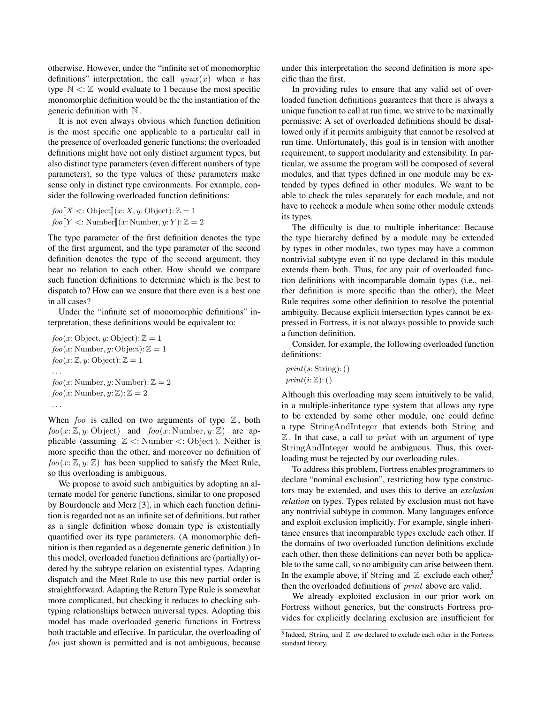otherwise. However, under the "infinite set of monomorphic definitions" interpretation, the call  $quux(x)$  when x has type  $\mathbb{N} \leq \mathbb{Z}$  would evaluate to 1 because the most specific monomorphic definition would be the the instantiation of the generic definition with  $\mathbb N$ .

It is not even always obvious which function definition is the most specific one applicable to a particular call in the presence of overloaded generic functions: the overloaded definitions might have not only distinct argument types, but also distinct type parameters (even different numbers of type parameters), so the type values of these parameters make sense only in distinct type environments. For example, consider the following overloaded function definitions:

```
foo\llbracket X \rightleftharpoons \text{Object}\llbracket (x: X, y: \text{Object}) : \mathbb{Z} = 1foo[Y \leq: \text{Number}](x: \text{Number}, y: Y): \mathbb{Z} = 2
```
The type parameter of the first definition denotes the type of the first argument, and the type parameter of the second definition denotes the type of the second argument; they bear no relation to each other. How should we compare such function definitions to determine which is the best to dispatch to? How can we ensure that there even is a best one in all cases?

Under the "infinite set of monomorphic definitions" interpretation, these definitions would be equivalent to:

```
foo(x:Object, y:Object): \mathbb{Z} = 1foo(x: \text{Number}, y: \text{Object}) : \mathbb{Z} = 1foo(x; \mathbb{Z}, y; \text{Object}): \mathbb{Z} = 1. . .
foo(x: \text{Number}, y: \text{Number}): \mathbb{Z} = 2foo(x: \text{Number}, y: \mathbb{Z}) : \mathbb{Z} = 2. . .
```
When *foo* is called on two arguments of type  $\mathbb{Z}$ , both  $foo(x; \mathbb{Z}, y; \text{Object})$  and  $foo(x; \text{Number}, y; \mathbb{Z})$  are applicable (assuming  $\mathbb{Z}$  <: Number <: Object). Neither is more specific than the other, and moreover no definition of  $foo(x: \mathbb{Z}, y: \mathbb{Z})$  has been supplied to satisfy the Meet Rule, so this overloading is ambiguous.

We propose to avoid such ambiguities by adopting an alternate model for generic functions, similar to one proposed by Bourdoncle and Merz [3], in which each function definition is regarded not as an infinite set of definitions, but rather as a single definition whose domain type is existentially quantified over its type parameters. (A monomorphic definition is then regarded as a degenerate generic definition.) In this model, overloaded function definitions are (partially) ordered by the subtype relation on existential types. Adapting dispatch and the Meet Rule to use this new partial order is straightforward. Adapting the Return Type Rule is somewhat more complicated, but checking it reduces to checking subtyping relationships between universal types. Adopting this model has made overloaded generic functions in Fortress both tractable and effective. In particular, the overloading of foo just shown is permitted and is not ambiguous, because

under this interpretation the second definition is more specific than the first.

In providing rules to ensure that any valid set of overloaded function definitions guarantees that there is always a unique function to call at run time, we strive to be maximally permissive: A set of overloaded definitions should be disallowed only if it permits ambiguity that cannot be resolved at run time. Unfortunately, this goal is in tension with another requirement, to support modularity and extensibility. In particular, we assume the program will be composed of several modules, and that types defined in one module may be extended by types defined in other modules. We want to be able to check the rules separately for each module, and not have to recheck a module when some other module extends its types.

The difficulty is due to multiple inheritance: Because the type hierarchy defined by a module may be extended by types in other modules, two types may have a common nontrivial subtype even if no type declared in this module extends them both. Thus, for any pair of overloaded function definitions with incomparable domain types (i.e., neither definition is more specific than the other), the Meet Rule requires some other definition to resolve the potential ambiguity. Because explicit intersection types cannot be expressed in Fortress, it is not always possible to provide such a function definition.

Consider, for example, the following overloaded function definitions:

```
print(s:String):()print(i: \mathbb{Z}): ()
```
Although this overloading may seem intuitively to be valid, in a multiple-inheritance type system that allows any type to be extended by some other module, one could define a type StringAndInteger that extends both String and  $\mathbb Z$ . In that case, a call to *print* with an argument of type StringAndInteger would be ambiguous. Thus, this overloading must be rejected by our overloading rules.

To address this problem, Fortress enables programmers to declare "nominal exclusion", restricting how type constructors may be extended, and uses this to derive an *exclusion relation* on types. Types related by exclusion must not have any nontrivial subtype in common. Many languages enforce and exploit exclusion implicitly. For example, single inheritance ensures that incomparable types exclude each other. If the domains of two overloaded function definitions exclude each other, then these definitions can never both be applicable to the same call, so no ambiguity can arise between them. In the example above, if String and  $\mathbb Z$  exclude each other,<sup>5</sup> then the overloaded definitions of print above are valid.

We already exploited exclusion in our prior work on Fortress without generics, but the constructs Fortress provides for explicitly declaring exclusion are insufficient for

 $<sup>5</sup>$  Indeed, String and  $\mathbb Z$  *are* declared to exclude each other in the Fortress</sup> standard library.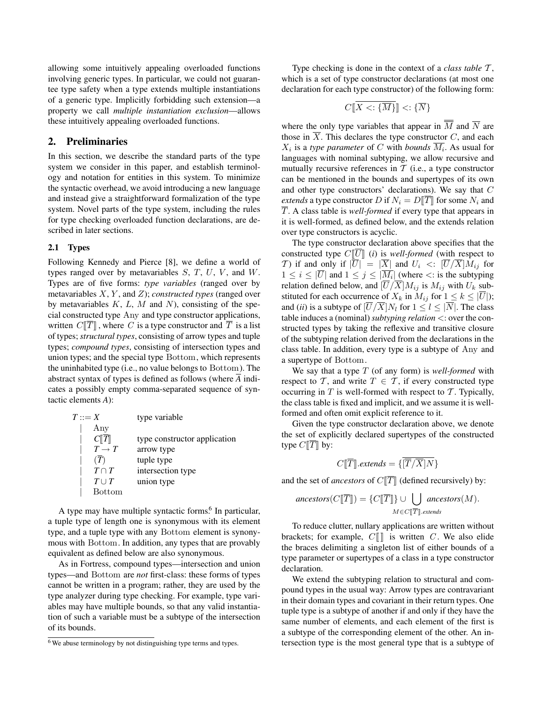allowing some intuitively appealing overloaded functions involving generic types. In particular, we could not guarantee type safety when a type extends multiple instantiations of a generic type. Implicitly forbidding such extension—a property we call *multiple instantiation exclusion*—allows these intuitively appealing overloaded functions.

#### 2. Preliminaries

In this section, we describe the standard parts of the type system we consider in this paper, and establish terminology and notation for entities in this system. To minimize the syntactic overhead, we avoid introducing a new language and instead give a straightforward formalization of the type system. Novel parts of the type system, including the rules for type checking overloaded function declarations, are described in later sections.

#### 2.1 Types

Following Kennedy and Pierce [8], we define a world of types ranged over by metavariables  $S, T, U, V$ , and  $W$ . Types are of five forms: *type variables* (ranged over by metavariables X, Y , and Z); *constructed types* (ranged over by metavariables  $K, L, M$  and  $N$ ), consisting of the special constructed type Any and type constructor applications, written  $C\overline{T}$ , where C is a type constructor and  $\overline{T}$  is a list of types; *structural types*, consisting of arrow types and tuple types; *compound types*, consisting of intersection types and union types; and the special type Bottom, which represents the uninhabited type (i.e., no value belongs to Bottom). The abstract syntax of types is defined as follows (where *A* indicates a possibly empty comma-separated sequence of syntactic elements *A*):

| $T::=X$           | type variable                |
|-------------------|------------------------------|
| Any               |                              |
| $C\overline{T}$   | type constructor application |
| $T \rightarrow T$ | arrow type                   |
| "T                | tuple type                   |
| $T \cap T$        | intersection type            |
| $T \cup T$        | union type                   |
| Bottom            |                              |
|                   |                              |

A type may have multiple syntactic forms.<sup>6</sup> In particular, a tuple type of length one is synonymous with its element type, and a tuple type with any Bottom element is synonymous with Bottom. In addition, any types that are provably equivalent as defined below are also synonymous.

As in Fortress, compound types—intersection and union types—and Bottom are *not* first-class: these forms of types cannot be written in a program; rather, they are used by the type analyzer during type checking. For example, type variables may have multiple bounds, so that any valid instantiation of such a variable must be a subtype of the intersection of its bounds.

Type checking is done in the context of a *class table* T , which is a set of type constructor declarations (at most one declaration for each type constructor) of the following form:

$$
C[\![X<:\{\overline{M}\}]\!]<:\{\overline{N}\}
$$

where the only type variables that appear in  $\overline{\overline{M}}$  and  $\overline{N}$  are those in  $\overline{X}$ . This declares the type constructor C, and each  $X_i$  is a *type parameter* of C with *bounds*  $\overline{M_i}$ . As usual for languages with nominal subtyping, we allow recursive and mutually recursive references in  $T$  (i.e., a type constructor can be mentioned in the bounds and supertypes of its own and other type constructors' declarations). We say that C *extends* a type constructor D if  $N_i = D\overline{T}$  for some  $N_i$  and  $\overline{T}$ . A class table is *well-formed* if every type that appears in it is well-formed, as defined below, and the extends relation over type constructors is acyclic.

The type constructor declaration above specifies that the constructed type  $C[\overline{U}]$  (*i*) is *well-formed* (with respect to T) if and only if  $|\overline{U}| = |\overline{X}|$  and  $U_i \ll |\overline{U}/\overline{X}| M_{ij}$  for  $1 \leq i \leq |\overline{U}|$  and  $1 \leq j \leq |\overline{M_i}|$  (where  $\lt$ : is the subtyping relation defined below, and  $[\overline{U}/\overline{X}]M_{ij}$  is  $M_{ij}$  with  $U_k$  substituted for each occurrence of  $X_k$  in  $M_{ij}$  for  $1 \leq k \leq |\overline{U}|$ ); and (*ii*) is a subtype of  $\left[\overline{U}/\overline{X}\right]N_l$  for  $1 \leq l \leq |\overline{N}|$ . The class table induces a (nominal) *subtyping relation* <: over the constructed types by taking the reflexive and transitive closure of the subtyping relation derived from the declarations in the class table. In addition, every type is a subtype of Any and a supertype of Bottom.

We say that a type T (of any form) is *well-formed* with respect to T, and write  $T \in T$ , if every constructed type occurring in  $T$  is well-formed with respect to  $\mathcal T$ . Typically, the class table is fixed and implicit, and we assume it is wellformed and often omit explicit reference to it.

Given the type constructor declaration above, we denote the set of explicitly declared supertypes of the constructed type  $C\overline{T}$  by:

$$
C[\![\overline{T}]\!].extends = \{\overline{[\overline{T}/\overline{X}]}N\}
$$

and the set of *ancestors* of  $C\|\overline{T}\|$  (defined recursively) by:

$$
ancestors(C[\![\overline{T}]\!]) = \{C[\![\overline{T}]\!] \} \cup \bigcup_{M \in C[\![\overline{T}]\!].\text{extends}} \text{ancestors}(M).
$$

To reduce clutter, nullary applications are written without brackets; for example,  $C \llbracket \cdot \rrbracket$  is written C. We also elide the braces delimiting a singleton list of either bounds of a type parameter or supertypes of a class in a type constructor declaration.

We extend the subtyping relation to structural and compound types in the usual way: Arrow types are contravariant in their domain types and covariant in their return types. One tuple type is a subtype of another if and only if they have the same number of elements, and each element of the first is a subtype of the corresponding element of the other. An intersection type is the most general type that is a subtype of

<sup>6</sup> We abuse terminology by not distinguishing type terms and types.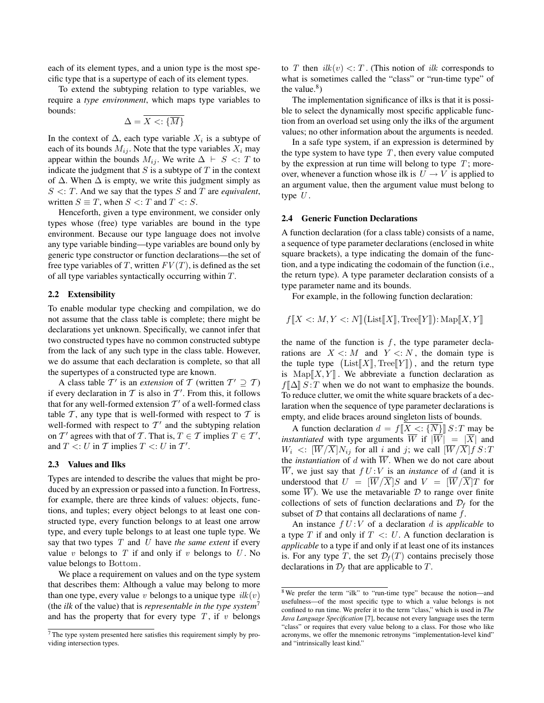each of its element types, and a union type is the most specific type that is a supertype of each of its element types.

To extend the subtyping relation to type variables, we require a *type environment*, which maps type variables to bounds:

$$
\Delta = X \langle : \{ \overline{M} \}
$$

In the context of  $\Delta$ , each type variable  $X_i$  is a subtype of each of its bounds  $M_{ij}$ . Note that the type variables  $X_i$  may appear within the bounds  $M_{ij}$ . We write  $\Delta \vdash S \lt: T$  to indicate the judgment that  $S$  is a subtype of  $T$  in the context of  $\Delta$ . When  $\Delta$  is empty, we write this judgment simply as  $S \leq T$ . And we say that the types S and T are *equivalent*, written  $S \equiv T$ , when  $S \prec T$  and  $T \prec S$ .

Henceforth, given a type environment, we consider only types whose (free) type variables are bound in the type environment. Because our type language does not involve any type variable binding—type variables are bound only by generic type constructor or function declarations—the set of free type variables of T, written  $FV(T)$ , is defined as the set of all type variables syntactically occurring within T.

#### 2.2 Extensibility

To enable modular type checking and compilation, we do not assume that the class table is complete; there might be declarations yet unknown. Specifically, we cannot infer that two constructed types have no common constructed subtype from the lack of any such type in the class table. However, we do assume that each declaration is complete, so that all the supertypes of a constructed type are known.

A class table  $T'$  is an *extension* of T (written  $T' \supseteq T$ ) if every declaration in  $T$  is also in  $T'$ . From this, it follows that for any well-formed extension  $T'$  of a well-formed class table  $T$ , any type that is well-formed with respect to  $T$  is well-formed with respect to  $T'$  and the subtyping relation on  $\mathcal{T}'$  agrees with that of  $\mathcal{T}$ . That is,  $T \in \mathcal{T}$  implies  $T \in \mathcal{T}'$ , and  $T \lt: U$  in T implies  $T \lt: U$  in T'.

#### 2.3 Values and Ilks

Types are intended to describe the values that might be produced by an expression or passed into a function. In Fortress, for example, there are three kinds of values: objects, functions, and tuples; every object belongs to at least one constructed type, every function belongs to at least one arrow type, and every tuple belongs to at least one tuple type. We say that two types T and U have *the same extent* if every value  $v$  belongs to  $T$  if and only if  $v$  belongs to  $U$ . No value belongs to Bottom.

We place a requirement on values and on the type system that describes them: Although a value may belong to more than one type, every value v belongs to a unique type  $ilk(v)$ (the *ilk* of the value) that is *representable in the type system*<sup>7</sup> and has the property that for every type  $T$ , if v belongs

to T then  $ilk(v) \leq T$ . (This notion of ilk corresponds to what is sometimes called the "class" or "run-time type" of the value. $<sup>8</sup>$ )</sup>

The implementation significance of ilks is that it is possible to select the dynamically most specific applicable function from an overload set using only the ilks of the argument values; no other information about the arguments is needed.

In a safe type system, if an expression is determined by the type system to have type  $T$ , then every value computed by the expression at run time will belong to type  $T$ ; moreover, whenever a function whose ilk is  $U \rightarrow V$  is applied to an argument value, then the argument value must belong to type  $U$ .

#### 2.4 Generic Function Declarations

A function declaration (for a class table) consists of a name, a sequence of type parameter declarations (enclosed in white square brackets), a type indicating the domain of the function, and a type indicating the codomain of the function (i.e., the return type). A type parameter declaration consists of a type parameter name and its bounds.

For example, in the following function declaration:

$$
f\llbracket X \lt:: M, Y \lt:: N \rrbracket \big(\text{List} \llbracket X \rrbracket, \text{Tree} \llbracket Y \rrbracket \big) : \text{Map} \llbracket X, Y \rrbracket
$$

the name of the function is  $f$ , the type parameter declarations are  $X \le M$  and  $Y \le N$ , the domain type is the tuple type  $(List[[X]], Tree[[Y]])$ , and the return type<br>is  $M \\circ \mathbb{F} \times V^{\mathbb{F}}$ . We obtain a function declaration as is  $\text{Map} [X, Y]$ . We abbreviate a function declaration as  $f$ [ $\Delta$ ]  $S$ : T when we do not want to emphasize the bounds. To reduce clutter, we omit the white square brackets of a declaration when the sequence of type parameter declarations is empty, and elide braces around singleton lists of bounds.

A function declaration  $d = f[X \leq \{N\}] S : T$  may be *instantiated* with type arguments  $\overline{W}$  if  $|\overline{W}| = |\overline{X}|$  and  $W_i \leq \left[\overline{W}/\overline{X}\right]N_{ij}$  for all i and j; we call  $\left[\overline{W}/\overline{X}\right]$  f  $S:T$ the *instantiation* of d with  $\overline{W}$ . When we do not care about  $\overline{W}$ , we just say that  $f U$ : V is an *instance* of d (and it is understood that  $U = [\overline{W}/\overline{X}]S$  and  $V = [\overline{W}/\overline{X}]T$  for some  $\overline{W}$ ). We use the metavariable D to range over finite collections of sets of function declarations and  $\mathcal{D}_f$  for the subset of  $D$  that contains all declarations of name  $f$ .

An instance f U :V of a declaration d is *applicable* to a type  $T$  if and only if  $T \le U$ . A function declaration is *applicable* to a type if and only if at least one of its instances is. For any type T, the set  $\mathcal{D}_f(T)$  contains precisely those declarations in  $\mathcal{D}_f$  that are applicable to  $T$ .

<sup>7</sup> The type system presented here satisfies this requirement simply by providing intersection types.

<sup>8</sup> We prefer the term "ilk" to "run-time type" because the notion—and usefulness—of the most specific type to which a value belongs is not confined to run time. We prefer it to the term "class," which is used in *The Java Language Specification* [7], because not every language uses the term "class" or requires that every value belong to a class. For those who like acronyms, we offer the mnemonic retronyms "implementation-level kind" and "intrinsically least kind."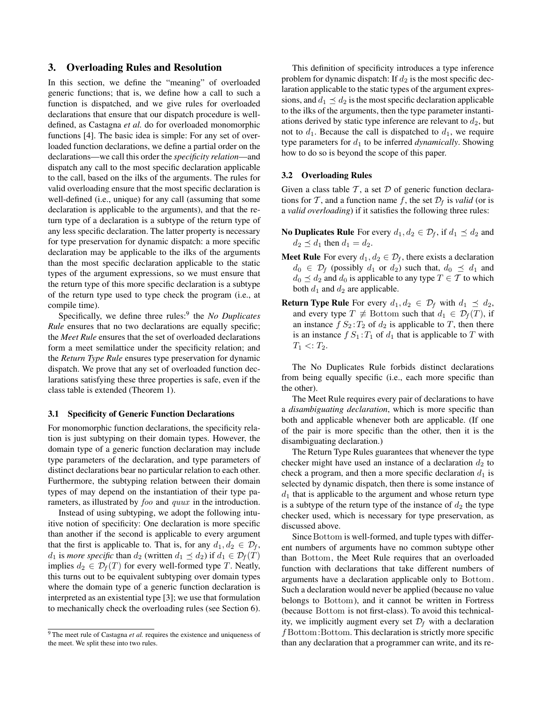#### 3. Overloading Rules and Resolution

In this section, we define the "meaning" of overloaded generic functions; that is, we define how a call to such a function is dispatched, and we give rules for overloaded declarations that ensure that our dispatch procedure is welldefined, as Castagna *et al.* do for overloaded monomorphic functions [4]. The basic idea is simple: For any set of overloaded function declarations, we define a partial order on the declarations—we call this order the *specificity relation*—and dispatch any call to the most specific declaration applicable to the call, based on the ilks of the arguments. The rules for valid overloading ensure that the most specific declaration is well-defined (i.e., unique) for any call (assuming that some declaration is applicable to the arguments), and that the return type of a declaration is a subtype of the return type of any less specific declaration. The latter property is necessary for type preservation for dynamic dispatch: a more specific declaration may be applicable to the ilks of the arguments than the most specific declaration applicable to the static types of the argument expressions, so we must ensure that the return type of this more specific declaration is a subtype of the return type used to type check the program (i.e., at compile time).

Specifically, we define three rules:<sup>9</sup> the *No Duplicates Rule* ensures that no two declarations are equally specific; the *Meet Rule* ensures that the set of overloaded declarations form a meet semilattice under the specificity relation; and the *Return Type Rule* ensures type preservation for dynamic dispatch. We prove that any set of overloaded function declarations satisfying these three properties is safe, even if the class table is extended (Theorem 1).

#### 3.1 Specificity of Generic Function Declarations

For monomorphic function declarations, the specificity relation is just subtyping on their domain types. However, the domain type of a generic function declaration may include type parameters of the declaration, and type parameters of distinct declarations bear no particular relation to each other. Furthermore, the subtyping relation between their domain types of may depend on the instantiation of their type parameters, as illustrated by *foo* and *quux* in the introduction.

Instead of using subtyping, we adopt the following intuitive notion of specificity: One declaration is more specific than another if the second is applicable to every argument that the first is applicable to. That is, for any  $d_1, d_2 \in \mathcal{D}_f$ ,  $d_1$  is *more specific* than  $d_2$  (written  $d_1 \preceq d_2$ ) if  $d_1 \in \mathcal{D}_f(T)$ implies  $d_2 \in \mathcal{D}_f(T)$  for every well-formed type T. Neatly, this turns out to be equivalent subtyping over domain types where the domain type of a generic function declaration is interpreted as an existential type [3]; we use that formulation to mechanically check the overloading rules (see Section 6).

This definition of specificity introduces a type inference problem for dynamic dispatch: If  $d_2$  is the most specific declaration applicable to the static types of the argument expressions, and  $d_1 \preceq d_2$  is the most specific declaration applicable to the ilks of the arguments, then the type parameter instantiations derived by static type inference are relevant to  $d_2$ , but not to  $d_1$ . Because the call is dispatched to  $d_1$ , we require type parameters for  $d_1$  to be inferred *dynamically*. Showing how to do so is beyond the scope of this paper.

#### 3.2 Overloading Rules

Given a class table  $T$ , a set  $D$  of generic function declarations for T, and a function name f, the set  $\mathcal{D}_f$  is *valid* (or is a *valid overloading*) if it satisfies the following three rules:

- No Duplicates Rule For every  $d_1, d_2 \in \mathcal{D}_f$ , if  $d_1 \preceq d_2$  and  $d_2 \preceq d_1$  then  $d_1 = d_2$ .
- **Meet Rule** For every  $d_1, d_2 \in \mathcal{D}_f$ , there exists a declaration  $d_0 \in \mathcal{D}_f$  (possibly  $d_1$  or  $d_2$ ) such that,  $d_0 \preceq d_1$  and  $d_0 \preceq d_2$  and  $d_0$  is applicable to any type  $T \in \mathcal{T}$  to which both  $d_1$  and  $d_2$  are applicable.
- **Return Type Rule** For every  $d_1, d_2 \in \mathcal{D}_f$  with  $d_1 \preceq d_2$ , and every type  $T \neq$  Bottom such that  $d_1 \in \mathcal{D}_f(T)$ , if an instance  $f S_2$ :  $T_2$  of  $d_2$  is applicable to  $T$ , then there is an instance  $f S_1 : T_1$  of  $d_1$  that is applicable to T with  $T_1 < T_2$ .

The No Duplicates Rule forbids distinct declarations from being equally specific (i.e., each more specific than the other).

The Meet Rule requires every pair of declarations to have a *disambiguating declaration*, which is more specific than both and applicable whenever both are applicable. (If one of the pair is more specific than the other, then it is the disambiguating declaration.)

The Return Type Rules guarantees that whenever the type checker might have used an instance of a declaration  $d_2$  to check a program, and then a more specific declaration  $d_1$  is selected by dynamic dispatch, then there is some instance of  $d_1$  that is applicable to the argument and whose return type is a subtype of the return type of the instance of  $d_2$  the type checker used, which is necessary for type preservation, as discussed above.

Since Bottom is well-formed, and tuple types with different numbers of arguments have no common subtype other than Bottom, the Meet Rule requires that an overloaded function with declarations that take different numbers of arguments have a declaration applicable only to Bottom. Such a declaration would never be applied (because no value belongs to Bottom), and it cannot be written in Fortress (because Bottom is not first-class). To avoid this technicality, we implicitly augment every set  $\mathcal{D}_f$  with a declaration f Bottom:Bottom. This declaration is strictly more specific than any declaration that a programmer can write, and its re-

<sup>&</sup>lt;sup>9</sup> The meet rule of Castagna *et al.* requires the existence and uniqueness of the meet. We split these into two rules.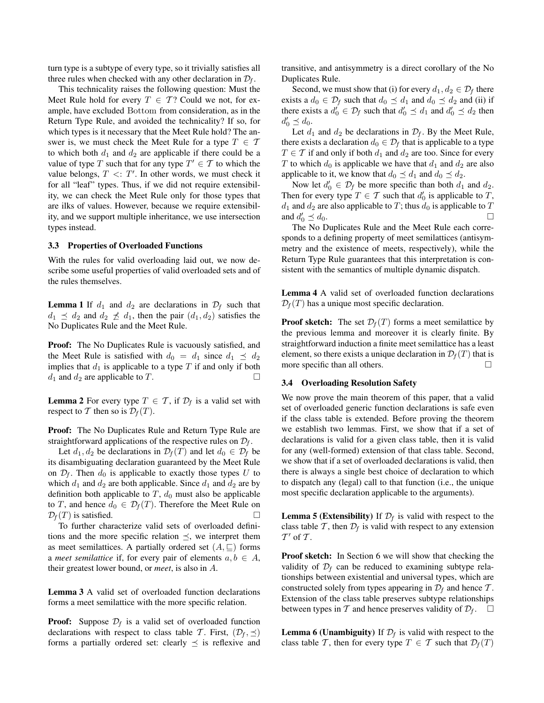turn type is a subtype of every type, so it trivially satisfies all three rules when checked with any other declaration in  $\mathcal{D}_f$ .

This technicality raises the following question: Must the Meet Rule hold for every  $T \in \mathcal{T}$ ? Could we not, for example, have excluded Bottom from consideration, as in the Return Type Rule, and avoided the technicality? If so, for which types is it necessary that the Meet Rule hold? The answer is, we must check the Meet Rule for a type  $T \in \mathcal{T}$ to which both  $d_1$  and  $d_2$  are applicable if there could be a value of type T such that for any type  $T' \in \mathcal{T}$  to which the value belongs,  $T \leq T'$ . In other words, we must check it for all "leaf" types. Thus, if we did not require extensibility, we can check the Meet Rule only for those types that are ilks of values. However, because we require extensibility, and we support multiple inheritance, we use intersection types instead.

#### 3.3 Properties of Overloaded Functions

With the rules for valid overloading laid out, we now describe some useful properties of valid overloaded sets and of the rules themselves.

**Lemma 1** If  $d_1$  and  $d_2$  are declarations in  $\mathcal{D}_f$  such that  $d_1 \preceq d_2$  and  $d_2 \npreceq d_1$ , then the pair  $(d_1, d_2)$  satisfies the No Duplicates Rule and the Meet Rule.

Proof: The No Duplicates Rule is vacuously satisfied, and the Meet Rule is satisfied with  $d_0 = d_1$  since  $d_1 \preceq d_2$ implies that  $d_1$  is applicable to a type  $T$  if and only if both  $d_1$  and  $d_2$  are applicable to T.

**Lemma 2** For every type  $T \in \mathcal{T}$ , if  $\mathcal{D}_f$  is a valid set with respect to T then so is  $\mathcal{D}_f(T)$ .

Proof: The No Duplicates Rule and Return Type Rule are straightforward applications of the respective rules on  $\mathcal{D}_f$ .

Let  $d_1, d_2$  be declarations in  $\mathcal{D}_f(T)$  and let  $d_0 \in \mathcal{D}_f$  be its disambiguating declaration guaranteed by the Meet Rule on  $\mathcal{D}_f$ . Then  $d_0$  is applicable to exactly those types U to which  $d_1$  and  $d_2$  are both applicable. Since  $d_1$  and  $d_2$  are by definition both applicable to  $T$ ,  $d_0$  must also be applicable to T, and hence  $d_0 \in \mathcal{D}_f(T)$ . Therefore the Meet Rule on  $\mathcal{D}_f(T)$  is satisfied.

To further characterize valid sets of overloaded definitions and the more specific relation  $\preceq$ , we interpret them as meet semilattices. A partially ordered set  $(A, \sqsubseteq)$  forms a *meet semilattice* if, for every pair of elements  $a, b \in A$ , their greatest lower bound, or *meet*, is also in A.

Lemma 3 A valid set of overloaded function declarations forms a meet semilattice with the more specific relation.

**Proof:** Suppose  $\mathcal{D}_f$  is a valid set of overloaded function declarations with respect to class table T. First,  $(\mathcal{D}_f, \preceq)$ forms a partially ordered set: clearly  $\preceq$  is reflexive and

transitive, and antisymmetry is a direct corollary of the No Duplicates Rule.

Second, we must show that (i) for every  $d_1, d_2 \in \mathcal{D}_f$  there exists a  $d_0 \,\in \,\mathcal{D}_f$  such that  $d_0 \preceq d_1$  and  $d_0 \preceq d_2$  and (ii) if there exists a  $d'_0 \in \mathcal{D}_f$  such that  $d'_0 \preceq d_1$  and  $d'_0 \preceq d_2$  then  $d'_0 \preceq d_0.$ 

Let  $d_1$  and  $d_2$  be declarations in  $\mathcal{D}_f$ . By the Meet Rule, there exists a declaration  $d_0 \in \mathcal{D}_f$  that is applicable to a type  $T \in \mathcal{T}$  if and only if both  $d_1$  and  $d_2$  are too. Since for every T to which  $d_0$  is applicable we have that  $d_1$  and  $d_2$  are also applicable to it, we know that  $d_0 \preceq d_1$  and  $d_0 \preceq d_2$ .

Now let  $d'_0 \in \mathcal{D}_f$  be more specific than both  $d_1$  and  $d_2$ . Then for every type  $T \in \mathcal{T}$  such that  $d'_0$  is applicable to  $T$ ,  $d_1$  and  $d_2$  are also applicable to T; thus  $d_0$  is applicable to T and  $d_0'$  $\zeta_0 \preceq d_0.$ 

The No Duplicates Rule and the Meet Rule each corresponds to a defining property of meet semilattices (antisymmetry and the existence of meets, respectively), while the Return Type Rule guarantees that this interpretation is consistent with the semantics of multiple dynamic dispatch.

Lemma 4 A valid set of overloaded function declarations  $\mathcal{D}_f(T)$  has a unique most specific declaration.

**Proof sketch:** The set  $\mathcal{D}_f(T)$  forms a meet semilattice by the previous lemma and moreover it is clearly finite. By straightforward induction a finite meet semilattice has a least element, so there exists a unique declaration in  $\mathcal{D}_f(T)$  that is more specific than all others.  $\Box$ 

#### 3.4 Overloading Resolution Safety

We now prove the main theorem of this paper, that a valid set of overloaded generic function declarations is safe even if the class table is extended. Before proving the theorem we establish two lemmas. First, we show that if a set of declarations is valid for a given class table, then it is valid for any (well-formed) extension of that class table. Second, we show that if a set of overloaded declarations is valid, then there is always a single best choice of declaration to which to dispatch any (legal) call to that function (i.e., the unique most specific declaration applicable to the arguments).

**Lemma 5 (Extensibility)** If  $\mathcal{D}_f$  is valid with respect to the class table T, then  $\mathcal{D}_f$  is valid with respect to any extension  $T'$  of T.

Proof sketch: In Section 6 we will show that checking the validity of  $\mathcal{D}_f$  can be reduced to examining subtype relationships between existential and universal types, which are constructed solely from types appearing in  $\mathcal{D}_f$  and hence  $\mathcal{T}$ . Extension of the class table preserves subtype relationships between types in  $T$  and hence preserves validity of  $\mathcal{D}_f$ .

**Lemma 6 (Unambiguity)** If  $\mathcal{D}_f$  is valid with respect to the class table T, then for every type  $T \in \mathcal{T}$  such that  $\mathcal{D}_f(T)$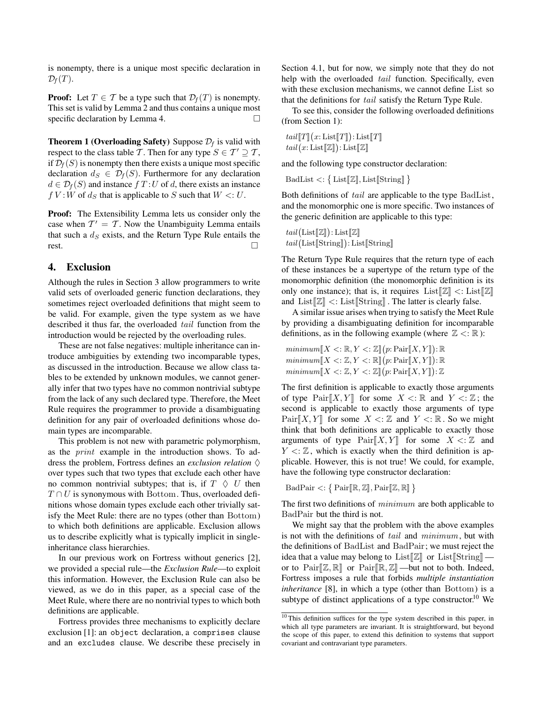is nonempty, there is a unique most specific declaration in  $\mathcal{D}_f(T)$ .

**Proof:** Let  $T \in \mathcal{T}$  be a type such that  $\mathcal{D}_f(T)$  is nonempty. This set is valid by Lemma 2 and thus contains a unique most specific declaration by Lemma 4.

**Theorem 1 (Overloading Safety)** Suppose  $\mathcal{D}_f$  is valid with respect to the class table T. Then for any type  $S \in \mathcal{T}' \supset \mathcal{T}$ , if  $\mathcal{D}_f(S)$  is nonempty then there exists a unique most specific declaration  $d_S \in \mathcal{D}_f(S)$ . Furthermore for any declaration  $d \in \mathcal{D}_f(S)$  and instance  $f T : U$  of d, there exists an instance  $f V : W$  of  $d_S$  that is applicable to S such that  $W \lt: U$ .

Proof: The Extensibility Lemma lets us consider only the case when  $T' = T$ . Now the Unambiguity Lemma entails that such a  $d<sub>S</sub>$  exists, and the Return Type Rule entails the  $r$ est.

#### 4. Exclusion

Although the rules in Section 3 allow programmers to write valid sets of overloaded generic function declarations, they sometimes reject overloaded definitions that might seem to be valid. For example, given the type system as we have described it thus far, the overloaded tail function from the introduction would be rejected by the overloading rules.

These are not false negatives: multiple inheritance can introduce ambiguities by extending two incomparable types, as discussed in the introduction. Because we allow class tables to be extended by unknown modules, we cannot generally infer that two types have no common nontrivial subtype from the lack of any such declared type. Therefore, the Meet Rule requires the programmer to provide a disambiguating definition for any pair of overloaded definitions whose domain types are incomparable.

This problem is not new with parametric polymorphism, as the print example in the introduction shows. To address the problem, Fortress defines an *exclusion relation*  $\diamondsuit$ over types such that two types that exclude each other have no common nontrivial subtypes; that is, if  $T \diamondsuit U$  then  $T \cap U$  is synonymous with Bottom. Thus, overloaded definitions whose domain types exclude each other trivially satisfy the Meet Rule: there are no types (other than Bottom) to which both definitions are applicable. Exclusion allows us to describe explicitly what is typically implicit in singleinheritance class hierarchies.

In our previous work on Fortress without generics [2], we provided a special rule—the *Exclusion Rule*—to exploit this information. However, the Exclusion Rule can also be viewed, as we do in this paper, as a special case of the Meet Rule, where there are no nontrivial types to which both definitions are applicable.

Fortress provides three mechanisms to explicitly declare exclusion [1]: an object declaration, a comprises clause and an excludes clause. We describe these precisely in Section 4.1, but for now, we simply note that they do not help with the overloaded *tail* function. Specifically, even with these exclusion mechanisms, we cannot define List so that the definitions for tail satisfy the Return Type Rule.

To see this, consider the following overloaded definitions (from Section 1):

 $tail[T](x: List[T]): List[T]]$ <br> $\vdots$   $\vdots$   $\vdots$   $\vdots$   $\vdots$   $\vdots$   $\vdots$   $\vdots$   $\vdots$   $\vdots$   $\vdots$   $\vdots$   $\vdots$   $\vdots$   $\vdots$   $\vdots$   $\vdots$   $\vdots$   $\vdots$   $\vdots$   $\vdots$   $\vdots$   $\vdots$   $\vdots$   $\vdots$   $\vdots$   $\vdots$   $\vdots$   $\vdots$   $\vdots$   $\vdots$   $\vdots$   $\vdots$   $\vdots$   $\vd$  $tail(x: \text{List}[\![\mathbb{Z}]\!])$ : List $[\![\mathbb{Z}]\!]$ 

and the following type constructor declaration:

 $\text{BadList} <: \left\{ \text{ List}[\![\mathbb{Z}]\!], \text{List}[\![\text{String}]\!] \right\}$ 

Both definitions of tail are applicable to the type BadList, and the monomorphic one is more specific. Two instances of the generic definition are applicable to this type:

 $tail(\text{List}[\mathbb{Z}]): \text{List}[\mathbb{Z}]]$  $tail(\operatorname{List} [\operatorname{String}] )$ : List $[\operatorname{String}]$ 

The Return Type Rule requires that the return type of each of these instances be a supertype of the return type of the monomorphic definition (the monomorphic definition is its only one instance); that is, it requires  $List[\![\mathbb{Z}]\!] \leq E[$ and  $List[\mathbb{Z}] \leq E$  ist $[String]$ . The latter is clearly false.

A similar issue arises when trying to satisfy the Meet Rule by providing a disambiguating definition for incomparable definitions, as in the following example (where  $\mathbb{Z} \leq \mathbb{R}$ ):

 $minimm[K <: \mathbb{R}, Y <: \mathbb{Z}](p: \text{Pair}[X, Y]) : \mathbb{R}$  $minimm\llbracket X \leq: \mathbb{Z}, Y \leq: \mathbb{R} \rrbracket (p: \text{Pair}[\llbracket X, Y \rrbracket) : \mathbb{R}$  $minimum[[X <: Z, Y <: Z]] (p:Pair[[X, Y]]): Z$ 

The first definition is applicable to exactly those arguments of type  $Pair[X, Y]$  for some  $X \leq \mathbb{R}$  and  $Y \leq \mathbb{Z}$ ; the second is applicable to exactly those arguments of type  $Pair[[X, Y]]$  for some  $X \leq Z$  and  $Y \leq R$ . So we might think that both definitions are applicable to exactly those arguments of type  $Pair[[X, Y]]$  for some  $X \leq Z$  and  $Y \leq \mathbb{Z}$ , which is exactly when the third definition is applicable. However, this is not true! We could, for example, have the following type constructor declaration:

 $\text{BadPair} < \{ \text{Pair}[\mathbb{R}, \mathbb{Z}], \text{Pair}[\mathbb{Z}, \mathbb{R}]\}$ 

The first two definitions of minimum are both applicable to BadPair but the third is not.

We might say that the problem with the above examples is not with the definitions of tail and minimum, but with the definitions of BadList and BadPair; we must reject the idea that a value may belong to  $List[\mathbb{Z}]$  or  $List[\text{String}]$  or to  $Pair[\mathbb{Z}, \mathbb{R}]$  or  $Pair[\mathbb{R}, \mathbb{Z}]$  —but not to both. Indeed, Fortress imposes a rule that forbids *multiple instantiation inheritance* [8], in which a type (other than Bottom) is a subtype of distinct applications of a type constructor.<sup>10</sup> We

 $10$  This definition suffices for the type system described in this paper, in which all type parameters are invariant. It is straightforward, but beyond the scope of this paper, to extend this definition to systems that support covariant and contravariant type parameters.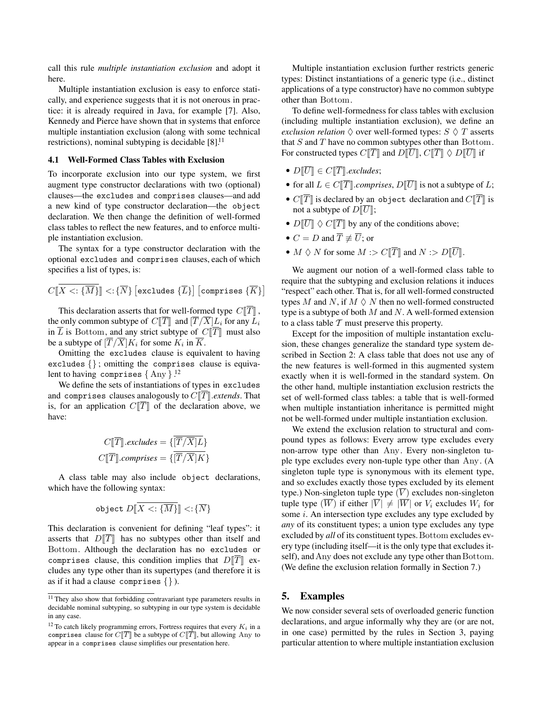call this rule *multiple instantiation exclusion* and adopt it here.

Multiple instantiation exclusion is easy to enforce statically, and experience suggests that it is not onerous in practice: it is already required in Java, for example [7]. Also, Kennedy and Pierce have shown that in systems that enforce multiple instantiation exclusion (along with some technical restrictions), nominal subtyping is decidable  $[8]$ <sup>11</sup>

#### 4.1 Well-Formed Class Tables with Exclusion

To incorporate exclusion into our type system, we first augment type constructor declarations with two (optional) clauses—the excludes and comprises clauses—and add a new kind of type constructor declaration—the object declaration. We then change the definition of well-formed class tables to reflect the new features, and to enforce multiple instantiation exclusion.

The syntax for a type constructor declaration with the optional excludes and comprises clauses, each of which specifies a list of types, is:

$$
C[\![\overline{X<:\{\overline{M}\}}]\!]\mathbin{<:}\{\overline{N}\}\ [\textrm{excludes}\ \{\overline{L}\}\]\ [\textrm{comprises}\ \{\overline{K}\}\big]
$$

This declaration asserts that for well-formed type  $C\Vert \overline{T} \Vert$ , the only common subtype of  $C[\overline{T}]$  and  $[\overline{T}/\overline{X}]L_i$  for any  $L_i$ in  $\overline{L}$  is Bottom, and any strict subtype of  $C\|\overline{T}\|$  must also be a subtype of  $[T/X]K_i$  for some  $K_i$  in  $K$ .

Omitting the excludes clause is equivalent to having excludes  $\{\}$ ; omitting the comprises clause is equivalent to having comprises  $\{ \,\mathrm{Any}\,\}$ .<sup>12</sup>

We define the sets of instantiations of types in excludes and comprises clauses analogously to  $C[T]$ .*extends*. That is, for an application  $C\|\overline{T}\|$  of the declaration above, we have:

$$
C[\overline{T}].excludes = {\overline{\overline{T}}/\overline{X}]\overline{L}}
$$

$$
C[\overline{T}].comprises = {\overline{\overline{\overline{T}}/\overline{X}}]K}
$$

A class table may also include object declarations, which have the following syntax:

$$
\text{object } D[\![\overline{X} <: \{\overline{M}\}] \!]<: \!\{\overline{N}\}
$$

This declaration is convenient for defining "leaf types": it asserts that  $D[T]$  has no subtypes other than itself and Bottom. Although the declaration has no excludes or comprises clause, this condition implies that  $D[T]$  excludes any type other than its supertypes (and therefore it is as if it had a clause comprises  $\{\}\).$ 

Multiple instantiation exclusion further restricts generic types: Distinct instantiations of a generic type (i.e., distinct applications of a type constructor) have no common subtype other than Bottom.

To define well-formedness for class tables with exclusion (including multiple instantiation exclusion), we define an *exclusion relation*  $\Diamond$  over well-formed types:  $S \Diamond T$  asserts that  $S$  and  $T$  have no common subtypes other than Bottom. For constructed types  $C\Vert \overline{T} \Vert$  and  $D\Vert \overline{U} \Vert$ ,  $C\Vert \overline{T} \Vert \Diamond D\Vert \overline{U} \Vert$  if

- $D\|\overline{U}\| \in C\|\overline{T}\|$ *.excludes*;
- for all  $L \in C[\overline{T}]$ *.comprises*,  $D[\overline{U}]$  is not a subtype of L;
- $C\Vert \overline{T} \Vert$  is declared by an object declaration and  $C\Vert \overline{T} \Vert$  is not a subtype of  $D\overline{U}$ ;
- $D\|\overline{U}\| \Diamond C\|\overline{T}\|$  by any of the conditions above;
- $C = D$  and  $\overline{T} \not\equiv \overline{U}$ ; or
- $M \Diamond N$  for some  $M := C[\overline{T}]$  and  $N := D[\overline{U}]$ .

We augment our notion of a well-formed class table to require that the subtyping and exclusion relations it induces "respect" each other. That is, for all well-formed constructed types M and N, if  $M \Diamond N$  then no well-formed constructed type is a subtype of both  $M$  and  $N$ . A well-formed extension to a class table  $T$  must preserve this property.

Except for the imposition of multiple instantation exclusion, these changes generalize the standard type system described in Section 2: A class table that does not use any of the new features is well-formed in this augmented system exactly when it is well-formed in the standard system. On the other hand, multiple instantiation exclusion restricts the set of well-formed class tables: a table that is well-formed when multiple instantiation inheritance is permitted might not be well-formed under multiple instantiation exclusion.

We extend the exclusion relation to structural and compound types as follows: Every arrow type excludes every non-arrow type other than Any. Every non-singleton tuple type excludes every non-tuple type other than Any. (A singleton tuple type is synonymous with its element type, and so excludes exactly those types excluded by its element type.) Non-singleton tuple type  $(\overline{V})$  excludes non-singleton tuple type  $(\overline{W})$  if either  $|\overline{V}| \neq |\overline{W}|$  or  $V_i$  excludes  $W_i$  for some i. An intersection type excludes any type excluded by *any* of its constituent types; a union type excludes any type excluded by *all* of its constituent types. Bottom excludes every type (including itself—it is the only type that excludes itself), and Any does not exclude any type other than Bottom. (We define the exclusion relation formally in Section 7.)

#### 5. Examples

We now consider several sets of overloaded generic function declarations, and argue informally why they are (or are not, in one case) permitted by the rules in Section 3, paying particular attention to where multiple instantiation exclusion

<sup>&</sup>lt;sup>11</sup> They also show that forbidding contravariant type parameters results in decidable nominal subtyping, so subtyping in our type system is decidable in any case.

<sup>&</sup>lt;sup>12</sup> To catch likely programming errors, Fortress requires that every  $K_i$  in a comprises clause for  $C\|\overline{T}\|$  be a subtype of  $C\|\overline{T}\|$ , but allowing Any to appear in a comprises clause simplifies our presentation here.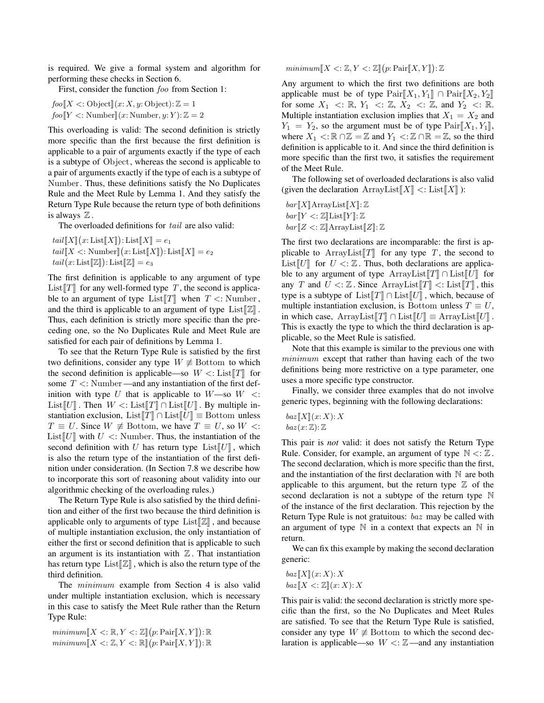is required. We give a formal system and algorithm for performing these checks in Section 6.

First, consider the function foo from Section 1:

$$
\begin{aligned} &\quad \textit{foo}[\![X <: \text{Object}]\!](x; X, y; \text{Object}): \mathbb{Z} = 1 \\ &\quad \textit{foo}[\![Y <: \text{Number}]\!](x; \text{Number}, y; Y): \mathbb{Z} = 2 \end{aligned}
$$

This overloading is valid: The second definition is strictly more specific than the first because the first definition is applicable to a pair of arguments exactly if the type of each is a subtype of Object, whereas the second is applicable to a pair of arguments exactly if the type of each is a subtype of Number. Thus, these definitions satisfy the No Duplicates Rule and the Meet Rule by Lemma 1. And they satisfy the Return Type Rule because the return type of both definitions is always  $\mathbb Z$ .

The overloaded definitions for tail are also valid:

 $tail[[X]](x: List[[X]]): List[[X]] = e_1$  $tail[[X \lt: : \text{Number}](x: \text{List}[X]]) : \text{List}[X]] = e_2$  $tail(x: List[\![\mathbb{Z}]\!])$ : List $[\![\mathbb{Z}]\!] = e_3$ 

The first definition is applicable to any argument of type List  $T$  for any well-formed type T, the second is applicable to an argument of type  ${\rm List}[\![T]\!]$  when  $T<: {\rm Number}$  , and the third is applicable to an argument of type  $List[\mathbb{Z}]$ . Thus, each definition is strictly more specific than the preceding one, so the No Duplicates Rule and Meet Rule are satisfied for each pair of definitions by Lemma 1.

To see that the Return Type Rule is satisfied by the first two definitions, consider any type  $W \not\equiv$  Bottom to which the second definition is applicable—so  $W \leq L\text{ist}[[T]]$  for some  $T \leq$ : Number —and any instantiation of the first definition with type  $U$  that is applicable to  $W$ —so  $W <$ : List $\llbracket U \rrbracket$ . Then  $W \leq$ : List $\llbracket T \rrbracket \cap$  List $\llbracket U \rrbracket$ . By multiple instantiation exclusion, List $\llbracket T \rrbracket \cap$  List $\llbracket U \rrbracket \equiv$  Bottom unless  $T \equiv U$ . Since  $W \not\equiv$  Bottom, we have  $T \equiv U$ , so  $W \leq$ : List  $\llbracket U \rrbracket$  with  $U \lt$ : Number. Thus, the instantiation of the second definition with U has return type List  $\llbracket U \rrbracket$ , which is also the return type of the instantiation of the first definition under consideration. (In Section 7.8 we describe how to incorporate this sort of reasoning about validity into our algorithmic checking of the overloading rules.)

The Return Type Rule is also satisfied by the third definition and either of the first two because the third definition is applicable only to arguments of type  $List[\mathbb{Z}]$ , and because of multiple instantiation exclusion, the only instantiation of either the first or second definition that is applicable to such an argument is its instantiation with  $\mathbb Z$ . That instantiation has return type List $\mathbb{Z}$ , which is also the return type of the third definition.

The minimum example from Section 4 is also valid under multiple instantiation exclusion, which is necessary in this case to satisfy the Meet Rule rather than the Return Type Rule:

 $minimmum[[X <: R, Y <: Z]] (p: Pair[[X, Y]]): R$  $minimum[[X <: Z, Y <: \mathbb{R}]] (p:Pair[[X, Y]]): \mathbb{R}$   $minimum[[X <: Z, Y <: Z]] (p:Pair[[X, Y]]): Z$ 

Any argument to which the first two definitions are both applicable must be of type  $\text{Pair}[[X_1, Y_1]] \cap \text{Pair}[[X_2, Y_2]]$ for some  $X_1 \leq \mathbb{R}$ ,  $Y_1 \leq \mathbb{Z}$ ,  $X_2 \leq \mathbb{Z}$ , and  $Y_2 \leq \mathbb{R}$ . Multiple instantiation exclusion implies that  $X_1 = X_2$  and  $Y_1 = Y_2$ , so the argument must be of type  $\text{Pair} [X_1, Y_1],$ where  $X_1$  <:  $\mathbb{R} \cap \mathbb{Z} = \mathbb{Z}$  and  $Y_1$  <:  $\mathbb{Z} \cap \mathbb{R} = \mathbb{Z}$ , so the third definition is applicable to it. And since the third definition is more specific than the first two, it satisfies the requirement of the Meet Rule.

The following set of overloaded declarations is also valid (given the declaration ArrayList $\llbracket X \rrbracket \leq \text{List} \llbracket X \rrbracket$ ):

 $bar[|X]$ ArrayList $[X]$ : Z  $bar[|Y|: \mathbb{Z}]$ List $||Y||: \mathbb{Z}$  $bar[Z] \leq \mathbb{Z}$  ArrayList $\mathbb{Z}$ : Z

The first two declarations are incomparable: the first is applicable to ArrayList $T$  for any type T, the second to List  $\llbracket U \rrbracket$  for  $U \lt$ :  $\mathbb{Z}$ . Thus, both declarations are applicable to any argument of type ArrayList $[[T]] \cap$ List $[[U]]$  for any T and  $U \leq \mathbb{Z}$ . Since ArrayList  $T \leq \text{List}[T]$ , this type is a subtype of List $[[T]] \cap \text{List}[U]]$ , which, because of multiple instantiation exclusion, is Bottom unless  $T \equiv U$ , in which case, ArrayList $[[T]] \cap \text{List}[[U]] \equiv \text{ArrayList}[[U]]$ . This is exactly the type to which the third declaration is applicable, so the Meet Rule is satisfied.

Note that this example is similar to the previous one with minimum except that rather than having each of the two definitions being more restrictive on a type parameter, one uses a more specific type constructor.

Finally, we consider three examples that do not involve generic types, beginning with the following declarations:

 $baz[[X]](x: X): X$  $baz(x:\mathbb{Z}):\mathbb{Z}$ 

This pair is *not* valid: it does not satisfy the Return Type Rule. Consider, for example, an argument of type  $\mathbb{N} \leq \mathbb{Z}$ . The second declaration, which is more specific than the first, and the instantiation of the first declaration with  $\mathbb N$  are both applicable to this argument, but the return type  $\mathbb Z$  of the second declaration is not a subtype of the return type N of the instance of the first declaration. This rejection by the Return Type Rule is not gratuitous: baz may be called with an argument of type  $\mathbb N$  in a context that expects an  $\mathbb N$  in return.

We can fix this example by making the second declaration generic:

$$
baz[[X]](x; X); X
$$

$$
baz[[X <: Z]](x; X); X
$$

This pair is valid: the second declaration is strictly more specific than the first, so the No Duplicates and Meet Rules are satisfied. To see that the Return Type Rule is satisfied, consider any type  $W \neq$  Bottom to which the second declaration is applicable—so  $W \leq Z$ —and any instantiation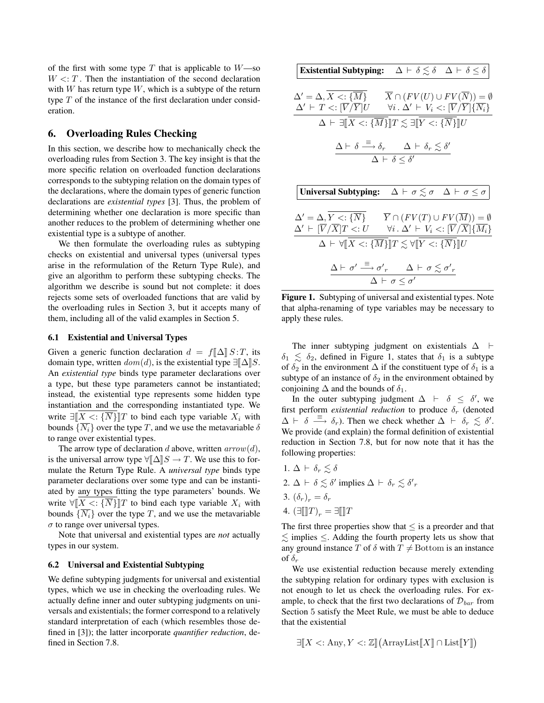of the first with some type  $T$  that is applicable to  $W$ —so  $W \le T$ . Then the instantiation of the second declaration with  $W$  has return type  $W$ , which is a subtype of the return type T of the instance of the first declaration under consideration.

#### 6. Overloading Rules Checking

In this section, we describe how to mechanically check the overloading rules from Section 3. The key insight is that the more specific relation on overloaded function declarations corresponds to the subtyping relation on the domain types of the declarations, where the domain types of generic function declarations are *existential types* [3]. Thus, the problem of determining whether one declaration is more specific than another reduces to the problem of determining whether one existential type is a subtype of another.

We then formulate the overloading rules as subtyping checks on existential and universal types (universal types arise in the reformulation of the Return Type Rule), and give an algorithm to perform these subtyping checks. The algorithm we describe is sound but not complete: it does rejects some sets of overloaded functions that are valid by the overloading rules in Section 3, but it accepts many of them, including all of the valid examples in Section 5.

#### 6.1 Existential and Universal Types

Given a generic function declaration  $d = f[\Delta] S : T$ , its domain type, written  $dom(d)$ , is the existential type  $\exists \Delta \exists S$ . An *existential type* binds type parameter declarations over a type, but these type parameters cannot be instantiated; instead, the existential type represents some hidden type instantiation and the corresponding instantiated type. We write  $\exists [X \leq : {\overline{N}}]$  to bind each type variable  $X_i$  with bounds  $\{\overline{N_i}\}$  over the type T, and we use the metavariable  $\delta$ to range over existential types.

The arrow type of declaration d above, written  $arrow(d)$ , is the universal arrow type  $\forall \Delta \parallel S \rightarrow T$ . We use this to formulate the Return Type Rule. A *universal type* binds type parameter declarations over some type and can be instantiated by any types fitting the type parameters' bounds. We write  $\forall \|X \leq \sqrt{N}\} \|T\|$  to bind each type variable  $X_i$  with bounds  $\{\overline{N_i}\}$  over the type T, and we use the metavariable  $\sigma$  to range over universal types.

Note that universal and existential types are *not* actually types in our system.

#### 6.2 Universal and Existential Subtyping

We define subtyping judgments for universal and existential types, which we use in checking the overloading rules. We actually define inner and outer subtyping judgments on universals and existentials; the former correspond to a relatively standard interpretation of each (which resembles those defined in [3]); the latter incorporate *quantifier reduction*, defined in Section 7.8.

| <b>Existential Subtyping:</b> $\Delta \vdash \delta \lesssim \delta \quad \Delta \vdash \delta \leq \delta$                                                                                                                                                                                                                                                                                             |  |
|---------------------------------------------------------------------------------------------------------------------------------------------------------------------------------------------------------------------------------------------------------------------------------------------------------------------------------------------------------------------------------------------------------|--|
| $\Delta' = \Delta, X \leq: \{ \overline{M} \} \qquad \overline{X} \cap (FV(U) \cup FV(\overline{N})) = \emptyset$<br>$\Delta' \vdash T \lt: :[\overline{V}/\overline{Y}]U \qquad \forall i.\ \Delta' \vdash V_i \lt: :[\overline{V}/\overline{Y}]\{\overline{N_i}\}\$                                                                                                                                   |  |
| $\Delta \vdash \exists \llbracket X <: \{\overline{M}\}\rrbracket T \lesssim \exists \llbracket Y <: \{\overline{N}\}\rrbracket U$                                                                                                                                                                                                                                                                      |  |
| $\Delta \vdash \delta \stackrel{\equiv}{\longrightarrow} \delta_r \qquad \Delta \vdash \delta_r \lesssim \delta'$<br>$\overline{\Delta} \vdash \delta \leq \delta'$                                                                                                                                                                                                                                     |  |
| Universal Subtyping: $\Delta \vdash \sigma \lesssim \sigma \quad \Delta \vdash \sigma \leq \sigma$                                                                                                                                                                                                                                                                                                      |  |
| $\Delta' = \Delta, Y \lt \colon \{\overline{N}\} \qquad \overline{Y} \cap (FV(T) \cup FV(\overline{M})) = \emptyset$<br>$\Delta' \vdash [\overline{V}/\overline{X}]T <: U$ $\forall i \ldotp \Delta' \vdash V_i <: [\overline{V}/\overline{X}]\{\overline{M_i}\}$<br>$\Delta \vdash \forall \llbracket X <: \{\overline{M}\}\rrbracket T \lesssim \forall \llbracket Y <: \{\overline{N}\}\rrbracket U$ |  |
| $\Delta \vdash \sigma' \stackrel{\equiv}{\longrightarrow} \sigma'_{r} \quad \Delta \vdash \sigma \lesssim \sigma'_{r}$<br>$\Delta \vdash \sigma \leq \sigma'$                                                                                                                                                                                                                                           |  |

Figure 1. Subtyping of universal and existential types. Note that alpha-renaming of type variables may be necessary to apply these rules.

The inner subtyping judgment on existentials  $\Delta$   $\vdash$  $\delta_1 \leq \delta_2$ , defined in Figure 1, states that  $\delta_1$  is a subtype of  $\delta_2$  in the environment  $\Delta$  if the constituent type of  $\delta_1$  is a subtype of an instance of  $\delta_2$  in the environment obtained by conjoining  $\Delta$  and the bounds of  $\delta_1$ .

In the outer subtyping judgment  $\Delta$   $\vdash$   $\delta$   $\leq$   $\delta'$ , we first perform *existential reduction* to produce  $\delta_r$  (denoted  $\Delta \vdash \delta \stackrel{\equiv}{\longrightarrow} \delta_r$ ). Then we check whether  $\Delta \vdash \delta_r \lesssim \delta'$ . We provide (and explain) the formal definition of existential reduction in Section 7.8, but for now note that it has the following properties:

- 1.  $\Delta \vdash \delta_r \leq \delta$
- 2.  $\Delta \vdash \delta \lesssim \delta'$  implies  $\Delta \vdash \delta_r \lesssim \delta'_r$
- 3.  $(\delta_r)_r = \delta_r$
- 4.  $(\exists \llbracket \rrbracket T)_r = \exists \llbracket \rrbracket T$

The first three properties show that  $\leq$  is a preorder and that  $\leq$  implies  $\leq$ . Adding the fourth property lets us show that any ground instance T of  $\delta$  with  $T \neq$  Bottom is an instance of  $\delta_r$ 

We use existential reduction because merely extending the subtyping relation for ordinary types with exclusion is not enough to let us check the overloading rules. For example, to check that the first two declarations of  $\mathcal{D}_{bar}$  from Section 5 satisfy the Meet Rule, we must be able to deduce that the existential

$$
\exists \llbracket X <: \text{Any}, Y <: \mathbb{Z} \rrbracket \big( \text{ArrayList} \llbracket X \rrbracket \cap \text{List} \llbracket Y \rrbracket \big)
$$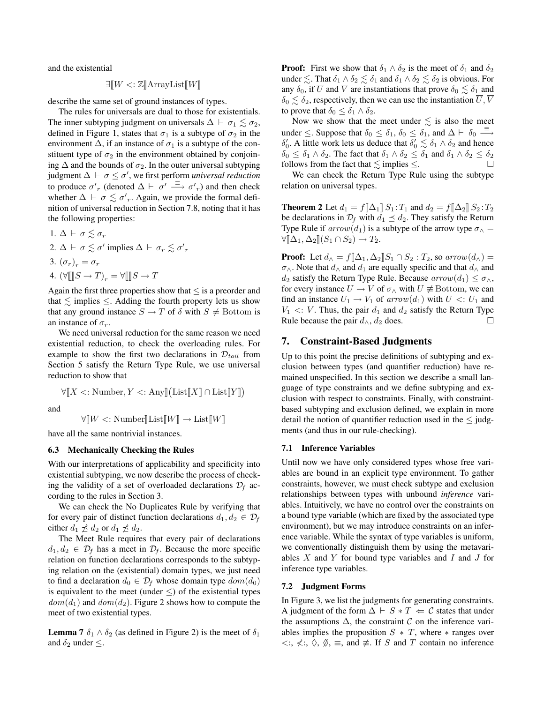and the existential

 $\exists \llbracket W \rightleftharpoons \mathbb{Z} \llbracket \text{ArrayList} \llbracket W \rrbracket$ 

describe the same set of ground instances of types.

The rules for universals are dual to those for existentials. The inner subtyping judgment on universals  $\Delta \vdash \sigma_1 \leq \sigma_2$ , defined in Figure 1, states that  $\sigma_1$  is a subtype of  $\sigma_2$  in the environment  $\Delta$ , if an instance of  $\sigma_1$  is a subtype of the constituent type of  $\sigma_2$  in the environment obtained by conjoining  $\Delta$  and the bounds of  $\sigma_2$ . In the outer universal subtyping judgment  $\Delta \vdash \sigma \leq \sigma'$ , we first perform *universal reduction* to produce  $\sigma'_{r}$  (denoted  $\Delta \vdash \sigma' \stackrel{\equiv}{\longrightarrow} \sigma'_{r}$ ) and then check whether  $\Delta \vdash \sigma \lesssim \sigma'$ . Again, we provide the formal definition of universal reduction in Section 7.8, noting that it has the following properties:

1. 
$$
\Delta \vdash \sigma \lesssim \sigma_r
$$
  
\n2.  $\Delta \vdash \sigma \lesssim \sigma'$  implies  $\Delta \vdash \sigma_r \lesssim \sigma'_r$   
\n3.  $(\sigma_r)_r = \sigma_r$   
\n4.  $(\forall \blacksquare S \rightarrow T)_r = \forall \blacksquare S \rightarrow T$ 

Again the first three properties show that  $\leq$  is a preorder and that  $\leq$  implies  $\leq$ . Adding the fourth property lets us show that any ground instance  $S \to T$  of  $\delta$  with  $S \neq$  Bottom is an instance of  $\sigma_r$ .

We need universal reduction for the same reason we need existential reduction, to check the overloading rules. For example to show the first two declarations in  $\mathcal{D}_{tail}$  from Section 5 satisfy the Return Type Rule, we use universal reduction to show that

$$
\forall \llbracket X <: \text{Number}, Y <: \text{Any} \rrbracket \big(\text{List} \llbracket X \rrbracket \cap \text{List} \llbracket Y \rrbracket \big)
$$

and

$$
\forall \llbracket W < : \text{Number} \rrbracket \text{List} \llbracket W \rrbracket \rightarrow \text{List} \llbracket W \rrbracket
$$

have all the same nontrivial instances.

#### 6.3 Mechanically Checking the Rules

With our interpretations of applicability and specificity into existential subtyping, we now describe the process of checking the validity of a set of overloaded declarations  $\mathcal{D}_f$  according to the rules in Section 3.

We can check the No Duplicates Rule by verifying that for every pair of distinct function declarations  $d_1, d_2 \in \mathcal{D}_f$ either  $d_1 \npreceq d_2$  or  $d_1 \npreceq d_2$ .

The Meet Rule requires that every pair of declarations  $d_1, d_2 \in \mathcal{D}_f$  has a meet in  $\mathcal{D}_f$ . Because the more specific relation on function declarations corresponds to the subtyping relation on the (existential) domain types, we just need to find a declaration  $d_0 \in \mathcal{D}_f$  whose domain type  $dom(d_0)$ is equivalent to the meet (under  $\leq$ ) of the existential types  $dom(d_1)$  and  $dom(d_2)$ . Figure 2 shows how to compute the meet of two existential types.

**Lemma 7**  $\delta_1 \wedge \delta_2$  (as defined in Figure 2) is the meet of  $\delta_1$ and  $\delta_2$  under  $\leq$ .

**Proof:** First we show that  $\delta_1 \wedge \delta_2$  is the meet of  $\delta_1$  and  $\delta_2$ under  $\lesssim$ . That  $\delta_1 \wedge \delta_2 \lesssim \delta_1$  and  $\delta_1 \wedge \delta_2 \lesssim \delta_2$  is obvious. For any  $\delta_0$ , if  $\overline{U}$  and  $\overline{V}$  are instantiations that prove  $\delta_0 \lesssim \delta_1$  and  $\delta_0 \lesssim \delta_2$ , respectively, then we can use the instantiation U, V to prove that  $\delta_0 \leq \delta_1 \wedge \delta_2$ .

Now we show that the meet under  $\leq$  is also the meet under  $\leq$ . Suppose that  $\delta_0 \leq \delta_1$ ,  $\delta_0 \leq \delta_1$ , and  $\Delta \vdash \delta_0 \stackrel{\equiv}{\longrightarrow}$ δ'<sub>0</sub>. A little work lets us deduce that  $\delta'_0 \lesssim \delta_1 \wedge \delta_2$  and hence  $\delta_0 \leq \delta_1 \wedge \delta_2$ . The fact that  $\delta_1 \wedge \delta_2 \leq \delta_1$  and  $\delta_1 \wedge \delta_2 \leq \delta_2$ follows from the fact that  $\leq$  implies  $\leq$ .

We can check the Return Type Rule using the subtype relation on universal types.

**Theorem 2** Let  $d_1 = f[\Delta_1, S_1 : T_1]$  and  $d_2 = f[\Delta_2, S_2 : T_2]$ be declarations in  $\mathcal{D}_f$  with  $d_1 \preceq d_2$ . They satisfy the Return Type Rule if  $arrow(d_1)$  is a subtype of the arrow type  $\sigma_{\Lambda}$  =  $\forall \llbracket \Delta_1, \Delta_2 \rrbracket (S_1 \cap S_2) \rightarrow T_2.$ 

**Proof:** Let  $d_{\wedge} = f[\Delta_1, \Delta_2] S_1 \cap S_2 : T_2$ , so arrow $(d_{\wedge}) =$  $\sigma_{\Lambda}$ . Note that  $d_{\Lambda}$  and  $d_1$  are equally specific and that  $d_{\Lambda}$  and  $d_2$  satisfy the Return Type Rule. Because  $arrow(d_1) \leq \sigma_{\wedge}$ , for every instance  $U \to V$  of  $\sigma_{\Lambda}$  with  $U \not\equiv$  Bottom, we can find an instance  $U_1 \rightarrow V_1$  of  $arrow(d_1)$  with  $U \leq U_1$  and  $V_1$  <: V. Thus, the pair  $d_1$  and  $d_2$  satisfy the Return Type Rule because the pair  $d_0$ ,  $d_2$  does.

#### 7. Constraint-Based Judgments

Up to this point the precise definitions of subtyping and exclusion between types (and quantifier reduction) have remained unspecified. In this section we describe a small language of type constraints and we define subtyping and exclusion with respect to constraints. Finally, with constraintbased subtyping and exclusion defined, we explain in more detail the notion of quantifier reduction used in the  $\le$  judgments (and thus in our rule-checking).

#### 7.1 Inference Variables

Until now we have only considered types whose free variables are bound in an explicit type environment. To gather constraints, however, we must check subtype and exclusion relationships between types with unbound *inference* variables. Intuitively, we have no control over the constraints on a bound type variable (which are fixed by the associated type environment), but we may introduce constraints on an inference variable. While the syntax of type variables is uniform, we conventionally distinguish them by using the metavariables  $X$  and  $Y$  for bound type variables and  $I$  and  $J$  for inference type variables.

#### 7.2 Judgment Forms

In Figure 3, we list the judgments for generating constraints. A judgment of the form  $\Delta \vdash S * T \Leftarrow C$  states that under the assumptions  $\Delta$ , the constraint C on the inference variables implies the proposition  $S \times T$ , where  $*$  ranges over  $\langle \cdot, \cdot \rangle$ ,  $\langle \cdot, \cdot \rangle$ ,  $\langle \cdot, \cdot \rangle$ ,  $\equiv$ , and  $\neq$ . If S and T contain no inference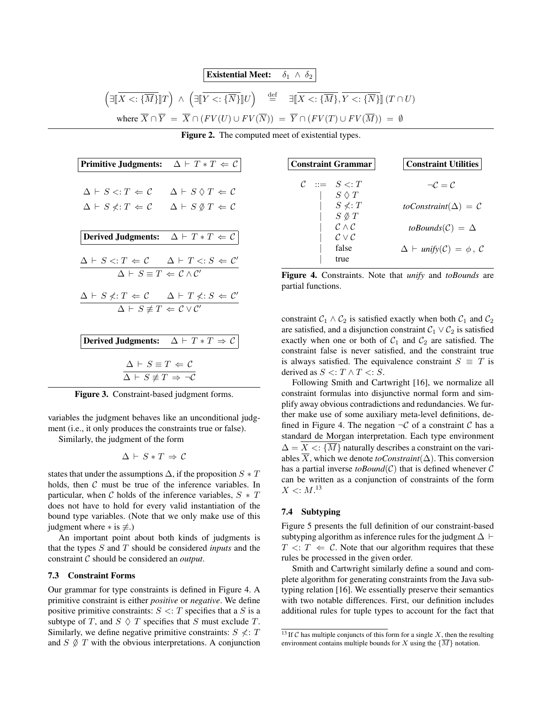|                                                                                                                                                                                                                                                                                                                                           | <b>Existential Meet:</b> $\delta_1 \wedge \delta_2$ |  |  |
|-------------------------------------------------------------------------------------------------------------------------------------------------------------------------------------------------------------------------------------------------------------------------------------------------------------------------------------------|-----------------------------------------------------|--|--|
| $\left(\exists \llbracket \overline{X\ltimes: \{\overline{M}\}} \rrbracket T\right)\ \wedge\ \left(\exists \llbracket \overline{Y\ltimes: \{\overline{N}\}} \rrbracket U\right)\quad \stackrel{\text{def}}{=} \quad \exists \llbracket \overline{X\ltimes: \{\overline{M}\}},\overline{Y\ltimes: \{\overline{N}\}} \rrbracket\,(T\cap U)$ |                                                     |  |  |
| where $\overline{X} \cap \overline{Y} = \overline{X} \cap (FV(U) \cup FV(\overline{N})) = \overline{Y} \cap (FV(T) \cup FV(\overline{M})) = \emptyset$                                                                                                                                                                                    |                                                     |  |  |

Figure 2. The computed meet of existential types.

| <b>Primitive Judgments:</b> $\Delta \vdash T \ast T \Leftarrow C$                                                  |                                           |
|--------------------------------------------------------------------------------------------------------------------|-------------------------------------------|
|                                                                                                                    |                                           |
| $\Delta \vdash S \lt: T \Leftarrow C$                                                                              | $\Delta \vdash S \Diamond T \Leftarrow C$ |
| $\Delta \vdash S \nless T \Leftrightarrow C$                                                                       | $\Delta \vdash S \& T \Leftarrow C$       |
|                                                                                                                    |                                           |
| <b>Derived Judgments:</b> $\Delta \vdash T * T \Leftarrow C$                                                       |                                           |
|                                                                                                                    |                                           |
| $\Delta \vdash S \lt: T \Leftarrow C \quad \Delta \vdash T \lt: S \Leftarrow C'$                                   |                                           |
| $\Lambda \vdash S = T \Leftarrow C \wedge C'$                                                                      |                                           |
| $\Delta \vdash S \nless T \Leftrightarrow \mathcal{C} \quad \Delta \vdash T \nless S \Leftrightarrow \mathcal{C}'$ |                                           |
| $\Delta \vdash S \not\equiv T \Leftarrow C \vee C'$                                                                |                                           |
|                                                                                                                    |                                           |
| <b>Derived Judgments:</b> $\Delta \vdash T * T \Rightarrow C$                                                      |                                           |
|                                                                                                                    |                                           |
| $\Delta \vdash S \equiv T \Leftarrow C$                                                                            |                                           |
| $\Delta \vdash S \not\equiv T \Rightarrow \neg C$                                                                  |                                           |
|                                                                                                                    |                                           |

Figure 3. Constraint-based judgment forms.

variables the judgment behaves like an unconditional judgment (i.e., it only produces the constraints true or false).

Similarly, the judgment of the form

$$
\Delta \vdash S * T \Rightarrow C
$$

states that under the assumptions  $\Delta$ , if the proposition  $S \times T$ holds, then  $C$  must be true of the inference variables. In particular, when C holds of the inference variables,  $S \times T$ does not have to hold for every valid instantiation of the bound type variables. (Note that we only make use of this judgment where  $*$  is  $\neq$ .)

An important point about both kinds of judgments is that the types S and T should be considered *inputs* and the constraint C should be considered an *output*.

#### 7.3 Constraint Forms

Our grammar for type constraints is defined in Figure 4. A primitive constraint is either *positive* or *negative*. We define positive primitive constraints:  $S \leq T$  specifies that a S is a subtype of T, and  $S \diamond T$  specifies that S must exclude T. Similarly, we define negative primitive constraints:  $S \nless T$ and  $S \ntriangle T$  with the obvious interpretations. A conjunction

| <b>Constraint Grammar</b>                | <b>Constraint Utilities</b>                                        |
|------------------------------------------|--------------------------------------------------------------------|
| $\mathcal{C}$ ::= $S \lt: T$             | $\neg \mathcal{C} = \mathcal{C}$                                   |
| $S \mathbin{\lozenge} T$<br>$S \nless T$ | to Constraint( $\Delta$ ) = C                                      |
| $S \ntriangleleft T$<br>$C \wedge C$     | toBounds(C) = $\Delta$                                             |
| $C \vee C$<br>false                      | $\Delta \vdash \textit{unify}(\mathcal{C}) = \phi$ , $\mathcal{C}$ |
| true                                     |                                                                    |

Figure 4. Constraints. Note that *unify* and *toBounds* are partial functions.

constraint  $C_1 \wedge C_2$  is satisfied exactly when both  $C_1$  and  $C_2$ are satisfied, and a disjunction constraint  $C_1 \vee C_2$  is satisfied exactly when one or both of  $C_1$  and  $C_2$  are satisfied. The constraint false is never satisfied, and the constraint true is always satisfied. The equivalence constraint  $S \equiv T$  is derived as  $S \le T \wedge T \le S$ .

Following Smith and Cartwright [16], we normalize all constraint formulas into disjunctive normal form and simplify away obvious contradictions and redundancies. We further make use of some auxiliary meta-level definitions, defined in Figure 4. The negation  $\neg \mathcal{C}$  of a constraint  $\mathcal{C}$  has a standard de Morgan interpretation. Each type environment  $\Delta = X \leq \{ \overline{M} \}$  naturally describes a constraint on the variables  $\overline{X}$ , which we denote *toConstraint*( $\Delta$ ). This conversion has a partial inverse  $toBound(C)$  that is defined whenever C can be written as a conjunction of constraints of the form  $X <: M.^{13}$ 

#### 7.4 Subtyping

Figure 5 presents the full definition of our constraint-based subtyping algorithm as inference rules for the judgment  $\Delta \vdash$  $T \leq T \leq C$ . Note that our algorithm requires that these rules be processed in the given order.

Smith and Cartwright similarly define a sound and complete algorithm for generating constraints from the Java subtyping relation [16]. We essentially preserve their semantics with two notable differences. First, our definition includes additional rules for tuple types to account for the fact that

<sup>&</sup>lt;sup>13</sup> If C has multiple conjuncts of this form for a single X, then the resulting environment contains multiple bounds for X using the  $\{\overline{M}\}\$  notation.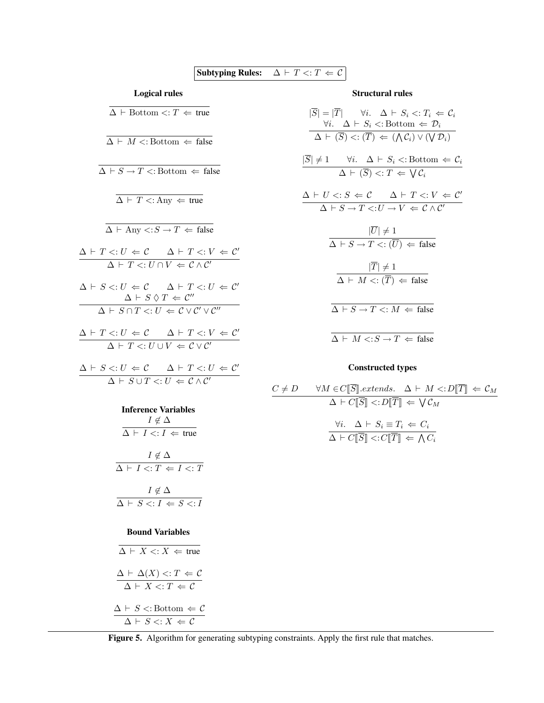## Logical rules  $\overline{\Delta \vdash \text{Bottom} \lt: T \Leftarrow \text{true}}$  $\overline{\Delta \vdash M}$  <: Bottom  $\Leftarrow$  false  $\overline{\Delta \vdash S \to T}$  <: Bottom  $\Leftarrow$  false  $\overline{\Delta \vdash T}$  <: Any  $\Leftarrow$  true  $\overline{\Delta \vdash \text{Any} \lt: S \rightarrow T \Leftarrow \text{false}}$  $\Delta \vdash T \lt: U \Leftarrow \mathcal{C} \quad \Delta \vdash T \lt: V \Leftarrow \mathcal{C}'$  $\Delta \vdash T \lt: U \cap V \Leftarrow C \wedge C'$  $\Delta \vdash S<: U \,\Leftarrow\, \mathcal{C} \qquad \Delta \vdash T<: U \,\Leftarrow\, \mathcal{C}'$  $\Delta \vdash S \Diamond T \Leftarrow C''$  $\Delta \vdash S \cap T \lt: : U \Leftarrow C \vee C' \vee C''$  $\Delta \vdash T \lt: U \Leftarrow \mathcal{C} \qquad \Delta \vdash T \lt: V \Leftarrow \mathcal{C}'$  $\Delta \vdash T \lt: : U \cup V \Leftarrow C \vee C'$  $\Delta \vdash S \lt: U \Leftarrow C \quad \Delta \vdash T \lt: U \Leftarrow C'$  $\Delta \vdash S \cup T \lt: : U \Leftarrow C \wedge C'$ Inference Variables

# $I \notin \Delta$  $\Delta \vdash I \lt: I \Leftarrow$  true  $I \notin \Delta$  $\Delta \vdash I \langle T \rangle \langle T \rangle = I \langle T \rangle$  $I \not\in \Delta$

## $\Delta \vdash S \lt: I \Leftarrow S \lt: I$ Bound Variables

### $\overline{\Delta \vdash X} \leq: X \Leftarrow$  true  $\Delta \vdash \Delta(X) \langle T \rangle \in \mathcal{C}$  $\Delta \vdash X \lt: T \Leftarrow C$  $\Delta$  ⊦ S <: Bottom  $\Leftarrow$  C  $\overline{\Delta \vdash S \lt: : X \Leftarrow C}$

#### Structural rules

$$
|\overline{S}| = |\overline{T}| \quad \forall i. \quad \Delta \vdash S_i \le T_i \Leftarrow C_i
$$
  
\n
$$
\forall i. \quad \Delta \vdash S_i \le \text{: Bottom} \Leftarrow \mathcal{D}_i
$$
  
\n
$$
\Delta \vdash (\overline{S}) \le : (\overline{T}) \Leftarrow (\bigwedge C_i) \vee (\bigvee \mathcal{D}_i)
$$
  
\n
$$
|\overline{S}| \neq 1 \quad \forall i. \quad \Delta \vdash S_i \le \text{:Bottom} \Leftarrow C_i
$$
  
\n
$$
\Delta \vdash (\overline{S}) \le : T \Leftarrow \bigvee C_i
$$
  
\n
$$
\Delta \vdash U \le : S \Leftarrow C \quad \Delta \vdash T \le : V \Leftarrow C'
$$
  
\n
$$
|\overline{U}| \neq 1
$$
  
\n
$$
\Delta \vdash S \rightarrow T \le : (\overline{U}) \Leftarrow \text{false}
$$
  
\n
$$
|\overline{T}| \neq 1
$$
  
\n
$$
\Delta \vdash M \le : (\overline{T}) \Leftarrow \text{false}
$$
  
\n
$$
\Delta \vdash M \le : S \rightarrow T \Leftarrow \text{false}
$$

#### Constructed types

$$
C \neq D \qquad \forall M \in C[\overline{S}].extends. \quad \Delta \vdash M \leq D[\overline{T}] \iff C_M
$$

$$
\Delta \vdash C[\overline{S}] \leq D[\overline{T}] \iff \bigvee C_M
$$

$$
\forall i. \quad \Delta \vdash S_i \equiv T_i \iff C_i
$$

$$
\Delta \vdash C[\overline{S}] \leq C[\overline{T}] \iff \bigwedge C_i
$$

Figure 5. Algorithm for generating subtyping constraints. Apply the first rule that matches.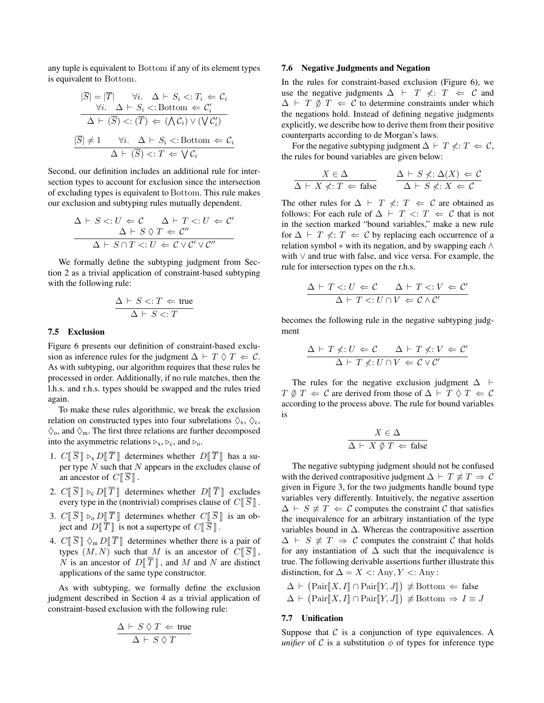any tuple is equivalent to Bottom if any of its element types is equivalent to Bottom.

$$
|\overline{S}| = |\overline{T}| \quad \forall i. \quad \Delta \vdash S_i <: T_i \Leftarrow C_i
$$
\n
$$
\overline{\Delta \vdash S_i <: \text{Bottom} \Leftarrow C'_i}
$$
\n
$$
\overline{\Delta \vdash (\overline{S}) <: (\overline{T}) \Leftarrow (\bigwedge C_i) \vee (\bigvee C'_i)}
$$
\n
$$
|\overline{S}| \neq 1 \quad \forall i. \quad \Delta \vdash S_i <: \text{Bottom} \Leftarrow C_i
$$
\n
$$
\Delta \vdash (\overline{S}) <: T \Leftarrow \bigvee C_i
$$

Second, our definition includes an additional rule for intersection types to account for exclusion since the intersection of excluding types is equivalent to Bottom. This rule makes our exclusion and subtyping rules mutually dependent.

$$
\Delta \vdash S \lt:: U \Leftarrow C \quad \Delta \vdash T \lt:: U \Leftarrow C'
$$
  
 
$$
\Delta \vdash S \Diamond T \Leftarrow C''
$$
  
 
$$
\Delta \vdash S \cap T \lt:: U \Leftarrow C \lor C' \lor C''
$$

We formally define the subtyping judgment from Section 2 as a trivial application of constraint-based subtyping with the following rule:

$$
\frac{\Delta \vdash S \lt: T \Leftarrow \text{true}}{\Delta \vdash S \lt: T}
$$

#### 7.5 Exclusion

Figure 6 presents our definition of constraint-based exclusion as inference rules for the judgment  $\Delta \vdash T \Diamond T \Leftarrow C$ . As with subtyping, our algorithm requires that these rules be processed in order. Additionally, if no rule matches, then the l.h.s. and r.h.s. types should be swapped and the rules tried again.

To make these rules algorithmic, we break the exclusion relation on constructed types into four subrelations  $\Diamond_x$ ,  $\Diamond_c$ ,  $\Diamond$ <sub>o</sub>, and  $\Diamond$ <sub>m</sub>. The first three relations are further decomposed into the asymmetric relations  $\triangleright_x$ ,  $\triangleright_c$ , and  $\triangleright_o$ .

- 1.  $C \overline{S} \sim_{\mathbf{x}} D \overline{T} \overline{T}$  determines whether  $D \overline{T} \overline{T}$  has a super type  $N$  such that  $N$  appears in the excludes clause of an ancestor of  $C \overline{S} \cdot \overline{S}$ .
- 2.  $C[\![\overline{S}]\!] \triangleright_c D[\![\overline{T}]\!]$  determines whether  $D[\![\overline{T}]\!]$  excludes every type in the (nontrivial) comprises clause of  $C[\overline{S}]$ .
- 3.  $C[\overline{S}] \rhd_0 D[\overline{T}]$  determines whether  $C[\overline{S}]$  is an object and  $D\llbracket \overline{T} \rrbracket$  is not a supertype of  $C\llbracket \overline{S} \rrbracket$ .
- 4.  $C \overline{S} \rVert \hat{S} \rVert \hat{D} \overline{T} \rVert$  determines whether there is a pair of types  $(M, N)$  such that M is an ancestor of  $C[\overline{S}]$ , N is an ancestor of  $D\llbracket \overline{T} \rrbracket$ , and M and N are distinct applications of the same type constructor.

As with subtyping, we formally define the exclusion judgment described in Section 4 as a trivial application of constraint-based exclusion with the following rule:

$$
\frac{\Delta \vdash S \Diamond T \Leftarrow \text{true}}{\Delta \vdash S \Diamond T}
$$

#### 7.6 Negative Judgments and Negation

In the rules for constraint-based exclusion (Figure 6), we use the negative judgments  $\Delta$   $\vdash$  T  $\not\leq$ : T  $\Leftarrow$  C and  $\Delta$   $\vdash$  T  $\&$  T  $\Leftarrow$  C to determine constraints under which the negations hold. Instead of defining negative judgments explicitly, we describe how to derive them from their positive counterparts according to de Morgan's laws.

For the negative subtyping judgment  $\Delta \vdash T \nless L$ . the rules for bound variables are given below:

$$
X \in \Delta
$$
  
\n
$$
\Delta \vdash X \nleq x : T \Leftrightarrow \text{false}
$$
\n
$$
\Delta \vdash S \nleq x : \Delta(X) \Leftrightarrow C
$$
  
\n
$$
\Delta \vdash S \nleq x : X \Leftrightarrow C
$$

The other rules for  $\Delta \vdash T \nless T \Leftarrow C$  are obtained as follows: For each rule of  $\Delta \vdash T \le T \Leftarrow C$  that is not in the section marked "bound variables," make a new rule for  $\Delta \vdash T \nless T \Leftarrow C$  by replacing each occurrence of a relation symbol  $*$  with its negation, and by swapping each  $\land$ with ∨ and true with false, and vice versa. For example, the rule for intersection types on the r.h.s.

$$
\frac{\Delta \vdash T \lt:: U \Leftarrow C \quad \Delta \vdash T \lt:: V \Leftarrow C'}{\Delta \vdash T \lt:: U \cap V \Leftarrow C \land C'}
$$

becomes the following rule in the negative subtyping judgment

$$
\frac{\Delta \vdash T \nleq: U \Leftarrow C \quad \Delta \vdash T \nleq: V \Leftarrow C'}{\Delta \vdash T \nleq: U \cap V \Leftarrow C \vee C'}
$$

The rules for the negative exclusion judgment  $\Delta$   $\vdash$  $T \& T \Leftrightarrow \mathcal{C}$  are derived from those of  $\Delta \vdash T \& T \Leftrightarrow \mathcal{C}$ according to the process above. The rule for bound variables is

$$
X \in \Delta
$$
  

$$
\Delta \vdash X \mathbin{\&} T \Leftarrow \text{false}
$$

The negative subtyping judgment should not be confused with the derived contrapositive judgment  $\Delta \vdash T \not\equiv T \Rightarrow C$ given in Figure 3, for the two judgments handle bound type variables very differently. Intuitively, the negative assertion  $\Delta \vdash S \not\equiv T \Leftrightarrow \mathcal{C}$  computes the constraint  $\mathcal{C}$  that satisfies the inequivalence for an arbitrary instantiation of the type variables bound in  $\Delta$ . Whereas the contrapositive assertion  $\Delta$   $\vdash$  S  $\not\equiv$  T  $\Rightarrow$  C computes the constraint C that holds for any instantiation of  $\Delta$  such that the inequivalence is true. The following derivable assertions further illustrate this distinction, for  $\Delta = X \langle A\rangle$ : Any, Y  $\langle A\rangle$ : Any :

$$
\Delta \vdash (\text{Pair}[[X, I]] \cap \text{Pair}[[Y, J]]) \not\equiv \text{Bottom} \Leftarrow \text{false} \n\Delta \vdash (\text{Pair}[[X, I]] \cap \text{Pair}[[Y, J]]) \not\equiv \text{Bottom} \Rightarrow I \equiv J
$$

#### 7.7 Unification

Suppose that  $\mathcal C$  is a conjunction of type equivalences. A *unifier* of C is a substitution  $\phi$  of types for inference type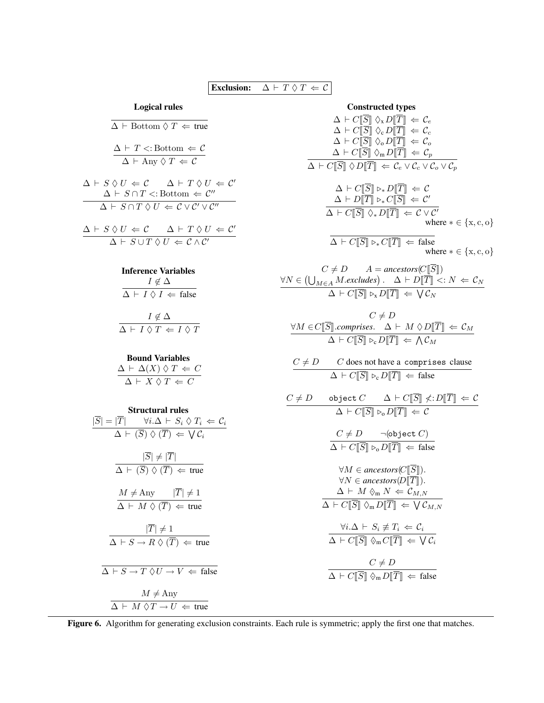Exclusion:  $\Delta \vdash T \Diamond T \Leftarrow C$ 

 $\overline{\Delta \vdash \text{Bottom} \Diamond T \Leftarrow \text{true}}$  $\Delta \vdash T \lt:$ : Bottom  $\Leftarrow \mathcal{C}$  $\Delta$   $\vdash$  Any  $\Diamond$   $T \Leftarrow C$  $\Delta \vdash S \Diamond U \Leftarrow C \quad \Delta \vdash T \Diamond U \Leftarrow C'$  $\Delta \vdash S \cap T \langle : \text{Bottom} \rangle \langle \mathcal{C}''$  $\Delta \vdash S \cap T \Diamond U \Leftarrow C \vee C' \vee C''$  $\Delta \vdash S \Diamond U \Leftarrow C \quad \Delta \vdash T \Diamond U \Leftarrow C'$ 

Logical rules

$$
\Delta \vdash S \cup T \Diamond U \Leftarrow C \land C'
$$
  

$$
\Delta \vdash S \cup T \Diamond U \Leftarrow C \land C'
$$

#### Inference Variables  $I \not\in \Delta$  $\overline{\Delta \vdash I \Diamond I} \Leftarrow \text{false}$

$$
\frac{I \notin \Delta}{\Delta \vdash I \Diamond T \Leftarrow I \Diamond T}
$$

#### Bound Variables  $\Delta \vdash \Delta(X) \lozenge T \Leftarrow C$  $\overline{\Delta \vdash X \Diamond T \Leftarrow C}$

| <b>Structural rules</b>                                                          |                                                           |
|----------------------------------------------------------------------------------|-----------------------------------------------------------|
| $ \overline{S}  =  \overline{T} $                                                | $\forall i.\Delta \vdash S_i \Diamond T_i \Leftarrow C_i$ |
| $\Delta \vdash (\overline{S}) \Diamond (\overline{T}) \Leftarrow \bigvee C_i$    |                                                           |
| $ \overline{S}  \neq  \overline{T} $                                             |                                                           |
| $\Delta \vdash (\overline{S}) \Diamond (\overline{T}) \Leftarrow \text{true}$    |                                                           |
| $M \neq \text{Any}$                                                              | $ \overline{T}  \neq 1$                                   |
| $\Delta \vdash M \Diamond (\overline{T}) \Leftarrow \text{true}$                 |                                                           |
| $ \overline{T}  \neq 1$                                                          |                                                           |
| $\Delta \vdash S \rightarrow R \Diamond (\overline{T}) \Leftarrow \text{true}$   |                                                           |
| $\Delta \vdash S \rightarrow T \Diamond U \rightarrow V \Leftarrow \text{false}$ |                                                           |
| $M \neq \text{Any}$                                                              |                                                           |
| $\Delta \vdash M \Diamond T \rightarrow U \Leftarrow \text{true}$                |                                                           |

Constructed types  $\Delta \vdash C[\overline{S}] \Diamond_{\mathbf{x}} D[\overline{T}] \Leftarrow \mathcal{C}_e$ <br> $\Delta \vdash C[\overline{S}] \land D[\overline{T}] \neq \mathcal{C}_e$ 

$$
\Delta \vdash C \overline{\begin{bmatrix} S \end{bmatrix}} \Diamond_c D \overline{\begin{bmatrix} T \end{bmatrix}} \Leftrightarrow \mathcal{C}_c
$$
\n
$$
\Delta \vdash C \overline{\begin{bmatrix} S \end{bmatrix}} \Diamond_o D \overline{\begin{bmatrix} T \end{bmatrix}} \Leftrightarrow \mathcal{C}_o
$$
\n
$$
\Delta \vdash C \overline{\begin{bmatrix} S \end{bmatrix}} \Diamond_p D \overline{\begin{bmatrix} T \end{bmatrix}} \Leftrightarrow \mathcal{C}_p
$$
\n
$$
\Delta \vdash C \overline{\begin{bmatrix} S \end{bmatrix}} \Diamond D \overline{\begin{bmatrix} T \end{bmatrix}} \Leftrightarrow \mathcal{C}_e \lor \mathcal{C}_c \lor \mathcal{C}_o \lor \mathcal{C}_p
$$
\n
$$
\Delta \vdash C \overline{\begin{bmatrix} S \end{bmatrix}} \triangleright_* D \overline{\begin{bmatrix} T \end{bmatrix}} \Leftrightarrow \mathcal{C}
$$
\n
$$
\Delta \vdash D \overline{\begin{bmatrix} T \end{bmatrix}} \triangleright_* C \overline{\begin{bmatrix} S \end{bmatrix}} \Leftrightarrow \mathcal{C}'
$$
\nwhere  $\ast \in \{x, c, o\}$ \n
$$
\Delta \vdash C \overline{\begin{bmatrix} S \end{bmatrix}} \triangleright_* C \overline{\begin{bmatrix} T \end{bmatrix}} \Leftrightarrow \text{false}
$$
\nwhere  $\ast \in \{x, c, o\}$ 

$$
C \neq D \qquad A = \text{ancestors}(C[\overline{S}])
$$
  

$$
\forall N \in (\bigcup_{M \in A} M\text{. excludes}) \qquad \Delta \vdash D[\overline{T}] \leq: N \iff C_N
$$
  

$$
\Delta \vdash C[\overline{S}] \rhd_x D[\overline{T}] \iff \bigvee C_N
$$

$$
C \neq D
$$
  
\n
$$
\forall M \in C[\overline{S}].compress. \quad \Delta \vdash M \Diamond D[\overline{T}] \Leftrightarrow C_M
$$
  
\n
$$
\Delta \vdash C[\overline{S}] \triangleright_c D[\overline{T}] \Leftrightarrow \bigwedge C_M
$$

$$
\frac{C \neq D \qquad C \text{ does not have a comprises clause}}{\Delta \vdash C[\![\overline{S}]\!] \triangleright_c D[\![\overline{T}]\!] \Leftarrow \text{ false}}
$$

$$
C \neq D \qquad \text{object } C \qquad \Delta \vdash C[\overline{S}] \nless L[\overline{T}] \Leftarrow C
$$
\n
$$
\Delta \vdash C[\overline{S}] \rhd_{o} D[\overline{T}] \Leftarrow C
$$
\n
$$
\frac{C \neq D \qquad \neg(\text{object } C)}{\Delta \vdash C[\overline{S}] \rhd_{o} D[\overline{T}] \Leftarrow \text{false}}
$$
\n
$$
\forall M \in \text{ancestors}(C[\overline{S}]).
$$
\n
$$
\forall N \in \text{ancestors}(D[\overline{T}]).
$$
\n
$$
\Delta \vdash M \diamondsuit_{m} N \Leftarrow C_{M,N}
$$
\n
$$
\Delta \vdash C[\overline{S}] \diamondsuit_{m} D[\overline{T}] \Leftarrow \bigvee C_{M,N}
$$
\n
$$
\forall i. \Delta \vdash S_{i} \not\equiv T_{i} \Leftarrow C_{i}
$$
\n
$$
\Delta \vdash C[\overline{S}] \diamondsuit_{m} C[\overline{T}] \Leftarrow \bigvee C_{i}
$$

$$
\frac{C \neq D}{\Delta \vdash C[\![\overline{S}]\!]\otimes_{\mathrm{m}} D[\![\overline{T}]\!] \Leftarrow \text{false}}
$$

Figure 6. Algorithm for generating exclusion constraints. Each rule is symmetric; apply the first one that matches.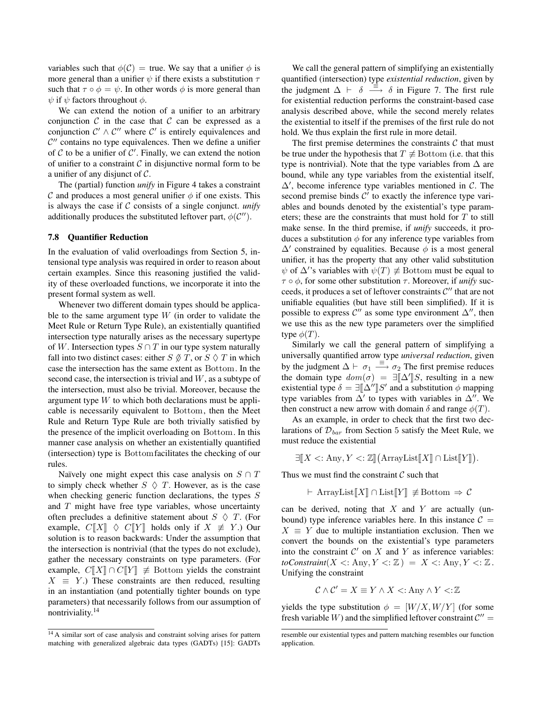variables such that  $\phi(C)$  = true. We say that a unifier  $\phi$  is more general than a unifier  $\psi$  if there exists a substitution  $\tau$ such that  $\tau \circ \phi = \psi$ . In other words  $\phi$  is more general than  $\psi$  if  $\psi$  factors throughout  $\phi$ .

We can extend the notion of a unifier to an arbitrary conjunction  $C$  in the case that  $C$  can be expressed as a conjunction  $C' \wedge C''$  where C' is entirely equivalences and  $C<sup>II</sup>$  contains no type equivalences. Then we define a unifier of  $C$  to be a unifier of  $C'$ . Finally, we can extend the notion of unifier to a constraint  $\mathcal C$  in disjunctive normal form to be a unifier of any disjunct of C.

The (partial) function *unify* in Figure 4 takes a constraint C and produces a most general unifier  $\phi$  if one exists. This is always the case if  $C$  consists of a single conjunct. *unify* additionally produces the substituted leftover part,  $\phi(C'')$ .

#### 7.8 Quantifier Reduction

In the evaluation of valid overloadings from Section 5, intensional type analysis was required in order to reason about certain examples. Since this reasoning justified the validity of these overloaded functions, we incorporate it into the present formal system as well.

Whenever two different domain types should be applicable to the same argument type  $W$  (in order to validate the Meet Rule or Return Type Rule), an existentially quantified intersection type naturally arises as the necessary supertype of W. Intersection types  $S \cap T$  in our type system naturally fall into two distinct cases: either  $S \otimes T$ , or  $S \otimes T$  in which case the intersection has the same extent as Bottom. In the second case, the intersection is trivial and  $W$ , as a subtype of the intersection, must also be trivial. Moreover, because the argument type W to which both declarations must be applicable is necessarily equivalent to Bottom, then the Meet Rule and Return Type Rule are both trivially satisfied by the presence of the implicit overloading on Bottom. In this manner case analysis on whether an existentially quantified (intersection) type is Bottomfacilitates the checking of our rules.

Naïvely one might expect this case analysis on  $S \cap T$ to simply check whether  $S \diamond T$ . However, as is the case when checking generic function declarations, the types S and  $T$  might have free type variables, whose uncertainty often precludes a definitive statement about  $S \diamond T$ . (For example,  $C[[X]] \diamondsuit C[[Y]]$  holds only if  $X \not\equiv Y$ .) Our solution is to reason backwards: Under the assumption that the intersection is nontrivial (that the types do not exclude), gather the necessary constraints on type parameters. (For example,  $C[[X]] \cap C[[Y]] \neq$  Bottom yields the constraint  $X \equiv Y$ .) These constraints are then reduced, resulting in an instantiation (and potentially tighter bounds on type parameters) that necessarily follows from our assumption of nontriviality.<sup>14</sup>

We call the general pattern of simplifying an existentially quantified (intersection) type *existential reduction*, given by the judgment  $\Delta \vdash \delta \stackrel{\equiv}{\implies} \delta$  in Figure 7. The first rule for existential reduction performs the constraint-based case analysis described above, while the second merely relates the existential to itself if the premises of the first rule do not hold. We thus explain the first rule in more detail.

The first premise determines the constraints  $\mathcal C$  that must be true under the hypothesis that  $T \neq$  Bottom (i.e. that this type is nontrivial). Note that the type variables from  $\Delta$  are bound, while any type variables from the existential itself,  $\Delta'$ , become inference type variables mentioned in  $\mathcal{C}$ . The second premise binds  $C'$  to exactly the inference type variables and bounds denoted by the existential's type parameters; these are the constraints that must hold for  $T$  to still make sense. In the third premise, if *unify* succeeds, it produces a substitution  $\phi$  for any inference type variables from  $\Delta'$  constrained by equalities. Because  $\phi$  is a most general unifier, it has the property that any other valid substitution  $\psi$  of  $\Delta'$ 's variables with  $\psi(T) \not\equiv$  Bottom must be equal to  $\tau \circ \phi$ , for some other substitution  $\tau$ . Moreover, if *unify* succeeds, it produces a set of leftover constraints  $\mathcal{C}''$  that are not unifiable equalities (but have still been simplified). If it is possible to express  $\mathcal{C}''$  as some type environment  $\Delta''$ , then we use this as the new type parameters over the simplified type  $\phi(T)$ .

Similarly we call the general pattern of simplifying a universally quantified arrow type *universal reduction*, given by the judgment  $\Delta \vdash \sigma_1 \stackrel{\equiv}{\longrightarrow} \sigma_2$  The first premise reduces the domain type  $dom(\sigma) = \exists [\Delta']S$ , resulting in a new<br>existential type  $\delta = \exists \Delta'' \exists S'$  and a substitution  $\phi$  mapping existential type  $\delta = \exists [\Delta''] \, S'$  and a substitution  $\phi$  mapping<br>type variables from  $\Delta'$  to types with variables in  $\Delta''$ . We type variables from  $\Delta'$  to types with variables in  $\Delta''$ . We then construct a new arrow with domain  $\delta$  and range  $\phi(T)$ .

As an example, in order to check that the first two declarations of  $\mathcal{D}_{bar}$  from Section 5 satisfy the Meet Rule, we must reduce the existential

 $\exists \llbracket X <: \text{Any}, Y <: \mathbb{Z} \rrbracket \big( \text{ArrayList} \llbracket X \rrbracket \cap \text{List} \llbracket Y \rrbracket \big).$ 

Thus we must find the constraint  $\mathcal C$  such that

$$
\vdash \text{ArrayList}[[X]] \cap \text{List}[[Y]] \not\equiv \text{Bottom} \Rightarrow \mathcal{C}
$$

can be derived, noting that  $X$  and  $Y$  are actually (unbound) type inference variables here. In this instance  $\mathcal{C} =$  $X \equiv Y$  due to multiple instantiation exclusion. Then we convert the bounds on the existential's type parameters into the constraint  $\mathcal{C}'$  on  $X$  and  $Y$  as inference variables:  $toConstraint(X <: Any, Y <: \mathbb{Z}) = X <: Any, Y <: \mathbb{Z}$ . Unifying the constraint

$$
\mathcal{C} \wedge \mathcal{C}' = X \equiv Y \wedge X <: \text{Any} \wedge Y <: \mathbb{Z}
$$

yields the type substitution  $\phi = [W/X, W/Y]$  (for some fresh variable W) and the simplified leftover constraint  $\mathcal{C}'' =$ 

<sup>&</sup>lt;sup>14</sup> A similar sort of case analysis and constraint solving arises for pattern matching with generalized algebraic data types (GADTs) [15]: GADTs

resemble our existential types and pattern matching resembles our function application.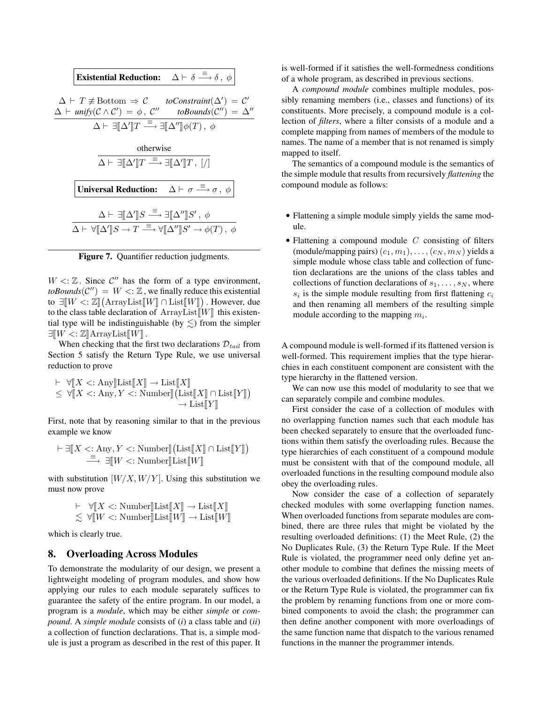|           | <b>Existential Reduction:</b> $\Delta \vdash \delta \stackrel{=}{\longrightarrow} \delta$ , $\phi$                                                                                                                                                  |  |  |  |
|-----------|-----------------------------------------------------------------------------------------------------------------------------------------------------------------------------------------------------------------------------------------------------|--|--|--|
|           | $\Delta \vdash T \not\equiv \text{Bottom} \Rightarrow \mathcal{C}$ to Constraint( $\Delta'$ ) = $\mathcal{C}'$<br>$\Delta \vdash \textit{unify}(\mathcal{C} \land \mathcal{C}') = \phi$ , $\mathcal{C}''$ to Bounds( $\mathcal{C}''$ ) = $\Delta''$ |  |  |  |
|           | $\Delta \vdash \exists \llbracket \Delta' \rrbracket T \stackrel{\equiv}{\longrightarrow} \exists \llbracket \Delta'' \rrbracket \phi(T), \phi$                                                                                                     |  |  |  |
| otherwise |                                                                                                                                                                                                                                                     |  |  |  |
|           | $\Delta \vdash \exists \llbracket \Delta' \rrbracket T \stackrel{\equiv}{\longrightarrow} \exists \llbracket \Delta' \rrbracket T, \; [\Box]$                                                                                                       |  |  |  |
|           | Universal Reduction: $\Delta \vdash \sigma \stackrel{\equiv}{\longrightarrow} \sigma$ , $\phi$                                                                                                                                                      |  |  |  |
|           | $\Delta \vdash \exists \llbracket \Delta' \rrbracket S \stackrel{\equiv}{\longrightarrow} \exists \llbracket \Delta'' \rrbracket S' , \phi$                                                                                                         |  |  |  |
|           | $\Delta \vdash \forall \llbracket \Delta' \rrbracket S \to T \stackrel{\equiv}{\longrightarrow} \forall \llbracket \Delta'' \rrbracket S' \to \phi(T), \phi$                                                                                        |  |  |  |

Figure 7. Quantifier reduction judgments.

 $W \leq Z$ . Since  $C''$  has the form of a type environment, *toBounds*( $\mathcal{C}''$ ) =  $W$  <:  $\mathbb{Z}$ , we finally reduce this existential to  $\exists [W \leq: \mathbb{Z}]$  (ArrayList $[[W]] \cap$  List $[[W]]$ ). However, due to the class table declaration of ArrayList $\llbracket W \rrbracket$  this existential type will be indistinguishable (by  $\leq$ ) from the simpler  $\exists \llbracket W \rightleftharpoons \mathbb{Z} \llbracket \text{ArrayList} \llbracket W \rrbracket$ .

When checking that the first two declarations  $\mathcal{D}_{tail}$  from Section 5 satisfy the Return Type Rule, we use universal reduction to prove

$$
\vdash \forall [\![X \leq: \text{Any}]\!] \text{List}[\![X]\!] \rightarrow \text{List}[\![X]\!] \newline \leq \forall [\![X \leq: \text{Any}, Y \leq: \text{Number}]\!] \big(\text{List}[\![X]\!] \cap \text{List}[\![Y]\!] \big) \newline \rightarrow \text{List}[\![Y]\!] \newline
$$

First, note that by reasoning similar to that in the previous example we know

$$
\vdash \exists [X \leq: \text{Any}, Y \leq: \text{Number}]\big(\text{List}[X] \cap \text{List}[Y]\big)
$$
  
\n
$$
\xrightarrow{\equiv} \exists [W \leq: \text{Number}]\text{List}[W]
$$

with substitution  $[W/X, W/Y]$ . Using this substitution we must now prove

$$
\vdash \forall \llbracket X <:\text{Number} \rrbracket \text{List} \llbracket X \rrbracket \rightarrow \text{List} \llbracket X \rrbracket \\
\lesssim \forall \llbracket W <:\text{Number} \rrbracket \text{List} \llbracket W \rrbracket
$$

which is clearly true.

#### 8. Overloading Across Modules

To demonstrate the modularity of our design, we present a lightweight modeling of program modules, and show how applying our rules to each module separately suffices to guarantee the safety of the entire program. In our model, a program is a *module*, which may be either *simple* or *compound*. A *simple module* consists of (*i*) a class table and (*ii*) a collection of function declarations. That is, a simple module is just a program as described in the rest of this paper. It is well-formed if it satisfies the well-formedness conditions of a whole program, as described in previous sections.

A *compound module* combines multiple modules, possibly renaming members (i.e., classes and functions) of its constituents. More precisely, a compound module is a collection of *filters*, where a filter consists of a module and a complete mapping from names of members of the module to names. The name of a member that is not renamed is simply mapped to itself.

The semantics of a compound module is the semantics of the simple module that results from recursively *flattening* the compound module as follows:

- Flattening a simple module simply yields the same module.
- Flattening a compound module  $C$  consisting of filters (module/mapping pairs)  $(c_1, m_1), \ldots, (c_N, m_N)$  yields a simple module whose class table and collection of function declarations are the unions of the class tables and collections of function declarations of  $s_1, \ldots, s_N$ , where  $s_i$  is the simple module resulting from first flattening  $c_i$ and then renaming all members of the resulting simple module according to the mapping  $m_i$ .

A compound module is well-formed if its flattened version is well-formed. This requirement implies that the type hierarchies in each constituent component are consistent with the type hierarchy in the flattened version.

We can now use this model of modularity to see that we can separately compile and combine modules.

First consider the case of a collection of modules with no overlapping function names such that each module has been checked separately to ensure that the overloaded functions within them satisfy the overloading rules. Because the type hierarchies of each constituent of a compound module must be consistent with that of the compound module, all overloaded functions in the resulting compound module also obey the overloading rules.

Now consider the case of a collection of separately checked modules with some overlapping function names. When overloaded functions from separate modules are combined, there are three rules that might be violated by the resulting overloaded definitions: (1) the Meet Rule, (2) the No Duplicates Rule, (3) the Return Type Rule. If the Meet Rule is violated, the programmer need only define yet another module to combine that defines the missing meets of the various overloaded definitions. If the No Duplicates Rule or the Return Type Rule is violated, the programmer can fix the problem by renaming functions from one or more combined components to avoid the clash; the programmer can then define another component with more overloadings of the same function name that dispatch to the various renamed functions in the manner the programmer intends.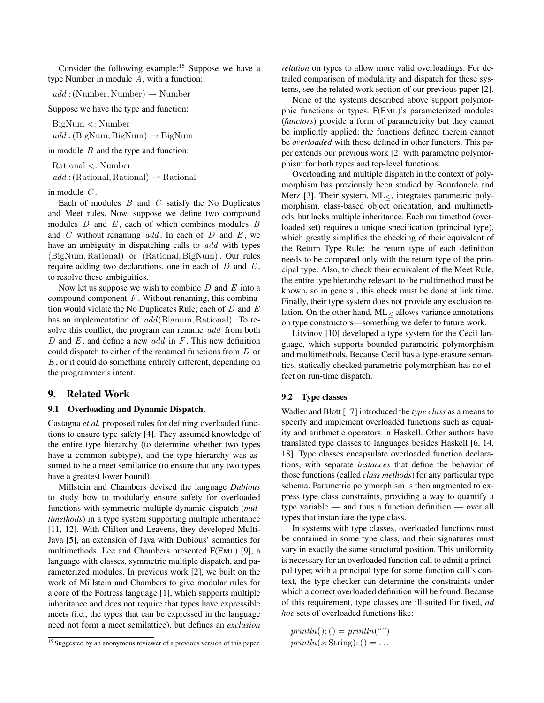Consider the following example:<sup>15</sup> Suppose we have a type Number in module A, with a function:

 $add:(Number,Number) \rightarrow Number$ 

Suppose we have the type and function:

BigNum <: Number  $add:(BigNum, BigNum) \rightarrow BigNum$ 

in module  $B$  and the type and function:

Rational <: Number

 $add: (Rational, Rational) \rightarrow Rational$ 

in module  $C$ .

Each of modules  $B$  and  $C$  satisfy the No Duplicates and Meet rules. Now, suppose we define two compound modules  $D$  and  $E$ , each of which combines modules  $B$ and  $C$  without renaming  $add$ . In each of  $D$  and  $E$ , we have an ambiguity in dispatching calls to *add* with types (BigNum, Rational) or (Rational, BigNum). Our rules require adding two declarations, one in each of  $D$  and  $E$ , to resolve these ambiguities.

Now let us suppose we wish to combine  $D$  and  $E$  into a compound component  $F$ . Without renaming, this combination would violate the No Duplicates Rule; each of  $D$  and  $E$ has an implementation of add(Bignum, Rational). To resolve this conflict, the program can rename *add* from both D and  $E$ , and define a new add in  $F$ . This new definition could dispatch to either of the renamed functions from D or E , or it could do something entirely different, depending on the programmer's intent.

#### 9. Related Work

#### 9.1 Overloading and Dynamic Dispatch.

Castagna *et al.* proposed rules for defining overloaded functions to ensure type safety [4]. They assumed knowledge of the entire type hierarchy (to determine whether two types have a common subtype), and the type hierarchy was assumed to be a meet semilattice (to ensure that any two types have a greatest lower bound).

Millstein and Chambers devised the language *Dubious* to study how to modularly ensure safety for overloaded functions with symmetric multiple dynamic dispatch (*multimethods*) in a type system supporting multiple inheritance [11, 12]. With Clifton and Leavens, they developed Multi-Java [5], an extension of Java with Dubious' semantics for multimethods. Lee and Chambers presented F(EML) [9], a language with classes, symmetric multiple dispatch, and parameterized modules. In previous work [2], we built on the work of Millstein and Chambers to give modular rules for a core of the Fortress language [1], which supports multiple inheritance and does not require that types have expressible meets (i.e., the types that can be expressed in the language need not form a meet semilattice), but defines an *exclusion*

*relation* on types to allow more valid overloadings. For detailed comparison of modularity and dispatch for these systems, see the related work section of our previous paper [2].

None of the systems described above support polymorphic functions or types. F(EML)'s parameterized modules (*functors*) provide a form of parametricity but they cannot be implicitly applied; the functions defined therein cannot be *overloaded* with those defined in other functors. This paper extends our previous work [2] with parametric polymorphism for both types and top-level functions.

Overloading and multiple dispatch in the context of polymorphism has previously been studied by Bourdoncle and Merz [3]. Their system, ML<, integrates parametric polymorphism, class-based object orientation, and multimethods, but lacks multiple inheritance. Each multimethod (overloaded set) requires a unique specification (principal type), which greatly simplifies the checking of their equivalent of the Return Type Rule: the return type of each definition needs to be compared only with the return type of the principal type. Also, to check their equivalent of the Meet Rule, the entire type hierarchy relevant to the multimethod must be known, so in general, this check must be done at link time. Finally, their type system does not provide any exclusion relation. On the other hand, ML<sup>≤</sup> allows variance annotations on type constructors—something we defer to future work.

Litvinov [10] developed a type system for the Cecil language, which supports bounded parametric polymorphism and multimethods. Because Cecil has a type-erasure semantics, statically checked parametric polymorphism has no effect on run-time dispatch.

#### 9.2 Type classes

Wadler and Blott [17] introduced the *type class* as a means to specify and implement overloaded functions such as equality and arithmetic operators in Haskell. Other authors have translated type classes to languages besides Haskell [6, 14, 18]. Type classes encapsulate overloaded function declarations, with separate *instances* that define the behavior of those functions (called *class methods*) for any particular type schema. Parametric polymorphism is then augmented to express type class constraints, providing a way to quantify a type variable — and thus a function definition — over all types that instantiate the type class.

In systems with type classes, overloaded functions must be contained in some type class, and their signatures must vary in exactly the same structural position. This uniformity is necessary for an overloaded function call to admit a principal type; with a principal type for some function call's context, the type checker can determine the constraints under which a correct overloaded definition will be found. Because of this requirement, type classes are ill-suited for fixed, *ad hoc* sets of overloaded functions like:

 $printhn(): () = println("")$  $printh(s:String):() = \ldots$ 

<sup>&</sup>lt;sup>15</sup> Suggested by an anonymous reviewer of a previous version of this paper.